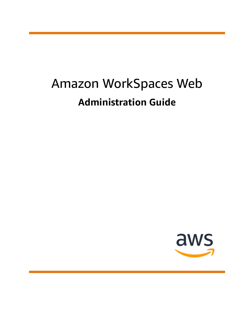# Amazon WorkSpaces Web **Administration Guide**

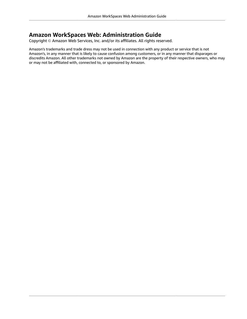### **Amazon WorkSpaces Web: Administration Guide**

Copyright © Amazon Web Services, Inc. and/or its affiliates. All rights reserved.

Amazon's trademarks and trade dress may not be used in connection with any product or service that is not Amazon's, in any manner that is likely to cause confusion among customers, or in any manner that disparages or discredits Amazon. All other trademarks not owned by Amazon are the property of their respective owners, who may or may not be affiliated with, connected to, or sponsored by Amazon.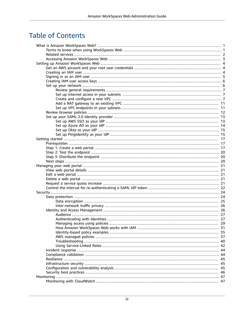# **Table of Contents**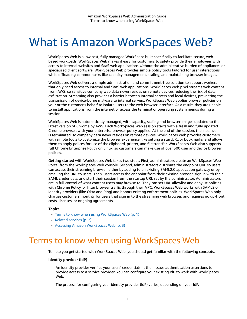# <span id="page-4-0"></span>What is Amazon WorkSpaces Web?

WorkSpaces Web is a low cost, fully managed WorkSpace built specifically to facilitate secure, webbased workloads. WorkSpaces Web makes it easy for customers to safely provide their employees with access to internal websites and SaaS web applications without the administrative burden of appliances or specialized client software. WorkSpaces Web provides simple policy tools tailored for user interactions, while offloading common tasks like capacity management, scaling, and maintaining browser images.

WorkSpaces Web delivers a simple administration and commitment-free solution to support workers that only need access to internal and SaaS web applications. WorkSpaces Web pixel streams web content from AWS, so sensitive company web data never resides on remote devices reducing the risk of data exfiltration. Streaming also provides a barrier between internal servers and local devices, preventing the transmission of device-borne malware to internal servers. WorkSpaces Web applies browser policies on your or the customer's behalf to isolate users to the web browser interface. As a result, they are unable to install applications from the internet or access the terminal or operating system menus during a session.

WorkSpaces Web is automatically managed, with capacity, scaling and browser images updated to the latest version of Chrome by AWS. Each WorkSpaces Web session starts with a fresh and fully updated Chrome browser, with your enterprise browser policy applied. At the end of the session, the instance is terminated, so company data never resides on remote devices. WorkSpaces Web provides customers with simple tools to customize the browser experience, like setting a startURL or bookmarks, and allows them to apply polices for use of the clipboard, printer, and file transfer. WorkSpaces Web also supports full Chrome Enterprise Policy on Linux, so customers can make use of over 300 user and device browser policies.

Getting started with WorkSpaces Web takes two steps. First, administrators create an WorkSpaces Web Portal from the WorkSpaces Web console. Second, administrators distribute the endpoint URL so users can access their streaming browser, either by adding to an existing SAML2.0 application gateway or by emailing the URL to users. Then, users access the endpoint from their existing browser, sign in with their SAML credentials, and start their session from the startup URL set by the administrator. Administrators are in full control of what content users may browse to. They can set URL allowlist and denylist policies with Chrome Policy, or filter browser traffic through their VPC. WorkSpaces Web works with SAML2.0 identity providers (like Okta and Ping) and honors existing enforcement policies. WorkSpaces Web only charges customers monthly for users that sign in to the streaming web browser, and requires no up-front costs, licenses, or ongoing agreements.

### **Topics**

- Terms to know when using [WorkSpaces](#page-4-1) Web (p. 1)
- Related [services \(p. 2\)](#page-5-0)
- Accessing Amazon [WorkSpaces](#page-6-0) Web (p. 3)

# <span id="page-4-1"></span>Terms to know when using WorkSpaces Web

To help you get started with WorkSpaces Web, you should get familiar with the following concepts.

### **Identity provider (IdP)**

An identity provider verifies your users' credentials. It then issues authentication assertions to provide access to a service provider. You can configure your existing IdP to work with WorkSpaces Web.

The process for configuring your identity provider (IdP) varies, depending on your IdP.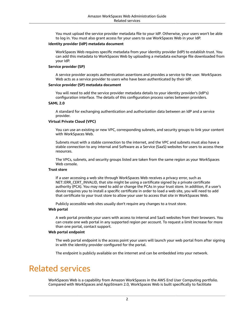You must upload the service provider metadata file to your IdP. Otherwise, your users won't be able to log in. You must also grant access for your users to use WorkSpaces Web in your IdP.

### **Identity provider (IdP) metadata document**

WorkSpaces Web requires specific metadata from your identity provider (IdP) to establish trust. You can add this metadata to WorkSpaces Web by uploading a metadata exchange file downloaded from your IdP.

### **Service provider (SP)**

A service provider accepts authentication assertions and provides a service to the user. WorkSpaces Web acts as a service provider to users who have been authenticated by their IdP.

#### **Service provider (SP) metadata document**

You will need to add the service provider metadata details to your identity provider's (IdP's) configuration interface. The details of this configuration process varies between providers.

#### **SAML 2.0**

A standard for exchanging authentication and authorization data between an IdP and a service provider.

### **Virtual Private Cloud (VPC)**

You can use an existing or new VPC, corresponding subnets, and security groups to link your content with WorkSpaces Web.

Subnets must with a stable connection to the internet, and the VPC and subnets must also have a stable connection to any internal and Software as a Service (SaaS) websites for users to access these resources.

The VPCs, subnets, and security groups listed are taken from the same region as your WorkSpaces Web console.

### **Trust store**

If a user accessing a web site through WorkSpaces Web receives a privacy error, such as NET::ERR\_CERT\_INVALID, that site might be using a certificate signed by a private certificate authority (PCA). You may need to add or change the PCAs in your trust store. In addition, if a user's device requires you to install a specific certificate in order to load a web site, you will need to add that certificate to your trust store to allow your user to access that site in WorkSpaces Web.

Publicly accessible web sites usually don't require any changes to a trust store.

### **Web portal**

A web portal provides your users with access to internal and SaaS websites from their browsers. You can create one web portal in any supported region per account. To request a limit increase for more than one portal, contact support.

### **Web portal endpoint**

The web portal endpoint is the access point your users will launch your web portal from after signing in with the identity provider configured for the portal.

The endpoint is publicly available on the internet and can be embedded into your network.

## <span id="page-5-0"></span>Related services

WorkSpaces Web is a capability from Amazon WorkSpaces in the AWS End User Computing portfolio. Compared with WorkSpaces and AppStream 2.0, WorkSpaces Web is built specifically to facilitate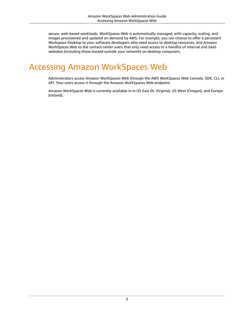secure, web-based workloads. WorkSpaces Web is automatically managed, with capacity, scaling, and images provisioned and updated on demand by AWS. For example, you can choose to offer a persistent Workspace Desktop to your software developers who need access to desktop resources, and Amazon WorkSpaces Web to the contact center users that only need access to a handful of internal and SaaS websites (including those hosted outside your network) on desktop computers.

# <span id="page-6-0"></span>Accessing Amazon WorkSpaces Web

Administrators access Amazon WorkSpaces Web through the AWS WorkSpaces Web Console, SDK, CLI, or API. Your users access it through the Amazon WorkSpaces Web endpoint.

Amazon WorkSpaces Web is currently available in in US East (N. Virginia), US West (Oregon), and Europe (Ireland).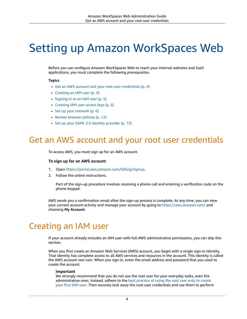# <span id="page-7-0"></span>Setting up Amazon WorkSpaces Web

Before you can configure Amazon WorkSpaces Web to reach your internal websites and SaaS applications, you must complete the following prerequisites.

### **Topics**

- Get an AWS account and your root user [credentials \(p. 4\)](#page-7-1)
- Creating an IAM [user \(p. 4\)](#page-7-2)
- [Signing in as an IAM user \(p. 5\)](#page-8-0)
- Creating IAM user access [keys \(p. 6\)](#page-9-0)
- Set up your [network \(p. 6\)](#page-9-1)
- Review browser [policies \(p. 12\)](#page-15-0)
- Set up your SAML 2.0 identity [provider \(p. 13\)](#page-16-0)

# <span id="page-7-1"></span>Get an AWS account and your root user credentials

To access AWS, you must sign up for an AWS account.

### **To sign up for an AWS account**

- 1. Open [https://portal.aws.amazon.com/billing/signup.](https://portal.aws.amazon.com/billing/signup)
- 2. Follow the online instructions.

Part of the sign-up procedure involves receiving a phone call and entering a verification code on the phone keypad.

AWS sends you a confirmation email after the sign-up process is complete. At any time, you can view your current account activity and manage your account by going to <https://aws.amazon.com/>and choosing **My Account**.

# <span id="page-7-2"></span>Creating an IAM user

If your account already includes an IAM user with full AWS administrative permissions, you can skip this section.

When you first create an Amazon Web Services (AWS) account, you begin with a single sign-in identity. That identity has complete access to all AWS services and resources in the account. This identity is called the AWS account *root user*. When you sign in, enter the email address and password that you used to create the account.

### **Important**

We strongly recommend that you do not use the root user for your everyday tasks, even the administrative ones. Instead, adhere to the best [practice](https://docs.aws.amazon.com/IAM/latest/UserGuide/best-practices.html#create-iam-users) of using the root user only to create [your](https://docs.aws.amazon.com/IAM/latest/UserGuide/best-practices.html#create-iam-users) first IAM user. Then securely lock away the root user credentials and use them to perform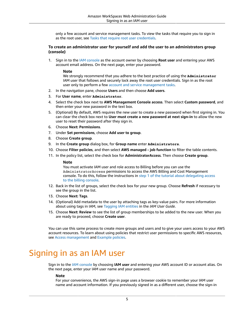only a few account and service management tasks. To view the tasks that require you to sign in as the root user, see Tasks that require root user [credentials](https://docs.aws.amazon.com/general/latest/gr/aws_tasks-that-require-root.html).

### **To create an administrator user for yourself and add the user to an administrators group (console)**

1. Sign in to the IAM [console](https://console.aws.amazon.com/iam/) as the account owner by choosing **Root user** and entering your AWS account email address. On the next page, enter your password.

### **Note**

We strongly recommend that you adhere to the best practice of using the **Administrator** IAM user that follows and securely lock away the root user credentials. Sign in as the root user only to perform a few account and service [management](https://docs.aws.amazon.com/general/latest/gr/aws_tasks-that-require-root.html) tasks.

- 2. In the navigation pane, choose **Users** and then choose **Add users**.
- 3. For **User name**, enter **Administrator**.
- 4. Select the check box next to **AWS Management Console access**. Then select **Custom password**, and then enter your new password in the text box.
- 5. (Optional) By default, AWS requires the new user to create a new password when first signing in. You can clear the check box next to **User must create a new password at next sign-in** to allow the new user to reset their password after they sign in.
- 6. Choose **Next: Permissions**.
- 7. Under **Set permissions**, choose **Add user to group**.
- 8. Choose **Create group**.
- 9. In the **Create group** dialog box, for **Group name** enter **Administrators**.
- 10. Choose **Filter policies**, and then select **AWS managed - job function** to filter the table contents.
- 11. In the policy list, select the check box for **AdministratorAccess**. Then choose **Create group**.

### **Note**

You must activate IAM user and role access to Billing before you can use the AdministratorAccess permissions to access the AWS Billing and Cost Management console. To do this, follow the instructions in step 1 of the tutorial about [delegating](https://docs.aws.amazon.com/IAM/latest/UserGuide/tutorial_billing.html) access to the billing [console](https://docs.aws.amazon.com/IAM/latest/UserGuide/tutorial_billing.html).

- 12. Back in the list of groups, select the check box for your new group. Choose **Refresh** if necessary to see the group in the list.
- 13. Choose **Next: Tags**.
- 14. (Optional) Add metadata to the user by attaching tags as key-value pairs. For more information about using tags in IAM, see [Tagging](https://docs.aws.amazon.com/IAM/latest/UserGuide/id_tags.html) IAM entities in the *IAM User Guide*.
- 15. Choose **Next: Review** to see the list of group memberships to be added to the new user. When you are ready to proceed, choose **Create user**.

You can use this same process to create more groups and users and to give your users access to your AWS account resources. To learn about using policies that restrict user permissions to specific AWS resources, see Access [management](https://docs.aws.amazon.com/IAM/latest/UserGuide/access.html) and [Example policies.](https://docs.aws.amazon.com/IAM/latest/UserGuide/access_policies_examples.html)

# <span id="page-8-0"></span>Signing in as an IAM user

Sign in to the IAM [console](https://console.aws.amazon.com/iam) by choosing **IAM user** and entering your AWS account ID or account alias. On the next page, enter your IAM user name and your password.

### **Note**

For your convenience, the AWS sign-in page uses a browser cookie to remember your IAM user name and account information. If you previously signed in as a different user, choose the sign-in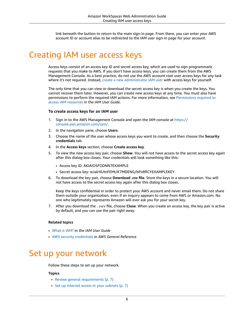link beneath the button to return to the main sign-in page. From there, you can enter your AWS account ID or account alias to be redirected to the IAM user sign-in page for your account.

# <span id="page-9-0"></span>Creating IAM user access keys

Access keys consist of an access key ID and secret access key, which are used to sign programmatic requests that you make to AWS. If you don't have access keys, you can create them from the AWS Management Console. As a best practice, do not use the AWS account root user access keys for any task where it's not required. Instead, create a new [administrator](https://docs.aws.amazon.com/IAM/latest/UserGuide/getting-started_create-admin-group.html) IAM user with access keys for yourself.

The only time that you can view or download the secret access key is when you create the keys. You cannot recover them later. However, you can create new access keys at any time. You must also have permissions to perform the required IAM actions. For more information, see [Permissions](https://docs.aws.amazon.com/IAM/latest/UserGuide/access_permissions-required.html) required to access IAM [resources](https://docs.aws.amazon.com/IAM/latest/UserGuide/access_permissions-required.html) in the *IAM User Guide*.

#### **To create access keys for an IAM user**

- 1. Sign in to the AWS Management Console and open the IAM console at [https://](https://console.aws.amazon.com/iam/) [console.aws.amazon.com/iam/](https://console.aws.amazon.com/iam/).
- 2. In the navigation pane, choose **Users**.
- 3. Choose the name of the user whose access keys you want to create, and then choose the **Security credentials** tab.
- 4. In the **Access keys** section, choose **Create access key**.
- 5. To view the new access key pair, choose **Show**. You will not have access to the secret access key again after this dialog box closes. Your credentials will look something like this:
	- Access key ID: AKIAIOSFODNN7EXAMPLE
	- Secret access key: wJalrXUtnFEMI/K7MDENG/bPxRfiCYEXAMPLEKEY
- 6. To download the key pair, choose **Download .csv file**. Store the keys in a secure location. You will not have access to the secret access key again after this dialog box closes.

Keep the keys confidential in order to protect your AWS account and never email them. Do not share them outside your organization, even if an inquiry appears to come from AWS or Amazon.com. No one who legitimately represents Amazon will ever ask you for your secret key.

7. After you download the .csv file, choose **Close**. When you create an access key, the key pair is active by default, and you can use the pair right away.

#### **Related topics**

- [What is IAM?](https://docs.aws.amazon.com/IAM/latest/UserGuide/introduction.html) in the *IAM User Guide*
- AWS security [credentials](https://docs.aws.amazon.com/general/latest/gr/aws-security-credentials.html) in *AWS General Reference*

# <span id="page-9-1"></span>Set up your network

Follow these steps to set up your network.

### **Topics**

- Review general [requirements \(p. 7\)](#page-10-0)
- Set up internet access in your [subnets \(p. 7\)](#page-10-1)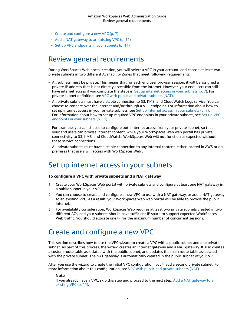- Create and configure a new [VPC \(p. 7\)](#page-10-2)
- Add a NAT gateway to an existing [VPC \(p. 11\)](#page-14-0)
- Set up VPC endpoints in your [subnets \(p. 11\)](#page-14-1)

## <span id="page-10-0"></span>Review general requirements

During WorkSpaces Web portal creation, you will select a VPC in your account, and choose at least two private subnets in two different Availability Zones that meet following requirements:

- All subnets must be private. This means that for each end user browser session, it will be assigned a private IP address that is not directly accessible from the internet. However, your end users can still have internet access if you complete the steps in Set up [internet](#page-10-1) access in your subnets [\(p. 7\).](#page-10-1) For private subnet definition, see VPC with public and private [subnets](https://docs.aws.amazon.com/vpc/latest/userguide/VPC_Scenario2.html) (NAT).
- All private subnets must have a stable connection to S3, KMS, and CloudWatch Logs service. You can choose to connect over the internet and/or through a VPC endpoint. For information about how to set up internet access in your private subnets, see Set up [internet](#page-10-1) access in your subnet[s \(p. 7\).](#page-10-1) For information about how to set up required VPC endpoints in your private subnets, see [Set up VPC](#page-14-1) [endpoints](#page-14-1) in your subnet[s \(p. 11\)](#page-14-1).

For example, you can choose to configure both internet access from your private subnet, so that your end users can browse internet content, while your WorkSpaces Web web portal has private connectivity to S3, KMS, and CloudWatch. WorkSpaces Web will not function as expected without these service connections.

• All private subnets must have a stable connection to any internal content, either located in AWS or on premises that users will access with WorkSpaces Web .

## <span id="page-10-1"></span>Set up internet access in your subnets

### **To configure a VPC with private subnets and a NAT gateway**

- 1. Create your WorkSpaces Web portal with private subnets and configure at least one NAT gateway in a public subnet in your VPC.
- 2. You can choose to create and configure a new VPC to use with a NAT gateway, or add a NAT gateway to an existing VPC. As a result, your WorkSpaces Web web portal will be able to browse the public internet.
- 3. For availability consideration, WorkSpaces Web requires at least two private subnets created in two different AZs, and your subnets should have sufficient IP space to support expected WorkSpaces Web traffic. You should allocate one IP for the maximum number of concurrent sessions.

## <span id="page-10-2"></span>Create and configure a new VPC

This section describes how to use the VPC wizard to create a VPC with a public subnet and one private subnet. As part of this process, the wizard creates an internet gateway and a NAT gateway. It also creates a custom route table associated with the public subnet, and updates the main route table associated with the private subnet. The NAT gateway is automatically created in the public subnet of your VPC.

After you use the wizard to create the initial VPC configuration, you'll add a second private subnet. For more information about this configuration, see VPC with public and private [subnets](https://docs.aws.amazon.com/vpc/latest/userguide/VPC_Scenario2.html) (NAT).

### **Note**

If you already have a VPC, skip this step and proceed to the next step, Add a NAT [gateway](#page-14-0) to an [existing VPC \(p. 11\).](#page-14-0)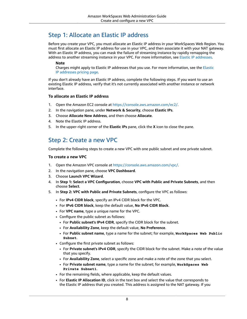## Step 1: Allocate an Elastic IP address

Before you create your VPC, you must allocate an Elastic IP address in your WorkSpaces Web Region. You must first allocate an Elastic IP address for use in your VPC, and then associate it with your NAT gateway. With an Elastic IP address, you can mask the failure of streaming instance by rapidly remapping the address to another streaming instance in your VPC. For more information, see Elastic IP [addresses.](https://docs.aws.amazon.com/vpc/latest/userguide/vpc-eips.html)

### **Note**

Charges might apply to Elastic IP addresses that you use. For more information, see the [Elastic](https://aws.amazon.com/ec2/pricing/on-demand/#Elastic_IP_Addresses) IP [addresses](https://aws.amazon.com/ec2/pricing/on-demand/#Elastic_IP_Addresses) pricing page.

If you don't already have an Elastic IP address, complete the following steps. If you want to use an existing Elastic IP address, verify that it's not currently associated with another instance or network interface.

### **To allocate an Elastic IP address**

- 1. Open the Amazon EC2 console at <https://console.aws.amazon.com/ec2/>.
- 2. In the navigation pane, under **Network & Security**, choose **Elastic IPs**.
- 3. Choose **Allocate New Address**, and then choose **Allocate**.
- 4. Note the Elastic IP address.
- 5. In the upper-right corner of the **Elastic IPs** pane, click the **X** icon to close the pane.

## Step 2: Create a new VPC

Complete the following steps to create a new VPC with one public subnet and one private subnet.

### **To create a new VPC**

- 1. Open the Amazon VPC console at [https://console.aws.amazon.com/vpc/.](https://console.aws.amazon.com/vpc/)
- 2. In the navigation pane, choose **VPC Dashboard**.
- 3. Choose **Launch VPC Wizard**.
- 4. In **Step 1: Select a VPC Configuration**, choose **VPC with Public and Private Subnets**, and then choose **Select**.
- 5. In **Step 2: VPC with Public and Private Subnets**, configure the VPC as follows:
	- For **IPv4 CIDR block**, specify an IPv4 CIDR block for the VPC.
	- For **IPv6 CIDR block**, keep the default value, **No IPv6 CIDR Block**.
	- For **VPC name**, type a unique name for the VPC.
	- Configure the public subnet as follows:
		- For **Public subnet's IPv4 CIDR**, specify the CIDR block for the subnet.
		- For **Availability Zone**, keep the default value, **No Preference**.
		- For **Public subnet name**, type a name for the subnet; for example, **WorkSpaces Web Public Subnet**.
	- Configure the first private subnet as follows:
		- For **Private subnet's IPv4 CIDR**, specify the CIDR block for the subnet. Make a note of the value that you specify.
		- For **Availability Zone**, select a specific zone and make a note of the zone that you select.
		- For **Private subnet name**, type a name for the subnet; for example, **WorkSpaces Web Private Subnet1**.
	- For the remaining fields, where applicable, keep the default values.
	- For **Elastic IP Allocation ID**, click in the text box and select the value that corresponds to the Elastic IP address that you created. This address is assigned to the NAT gateway. If you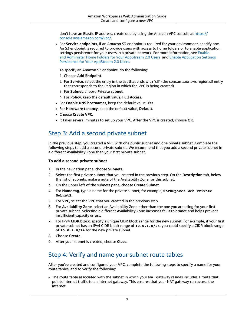don't have an Elastic IP address, create one by using the Amazon VPC console at [https://](https://console.aws.amazon.com/vpc/) [console.aws.amazon.com/vpc/.](https://console.aws.amazon.com/vpc/)

• For **Service endpoints**, if an Amazon S3 endpoint is required for your environment, specify one. An S3 endpoint is required to provide users with access to home folders or to enable application settings persistence for your users in a private network. For more information, see [Enable](https://docs.aws.amazon.com/appstream2/latest/developerguide/home-folders.html) and Administer Home Folders for Your [AppStream](https://docs.aws.amazon.com/appstream2/latest/developerguide/home-folders.html) 2.0 Users and Enable [Application](https://docs.aws.amazon.com/appstream2/latest/developerguide/app-settings-persistence.html) Settings Persistence for Your [AppStream](https://docs.aws.amazon.com/appstream2/latest/developerguide/app-settings-persistence.html) 2.0 Users.

To specify an Amazon S3 endpoint, do the following:

- 1. Choose **Add Endpoint**.
- 2. For **Service**, select the entry in the list that ends with "s3" (the com.amazonaws.region.s3 entry that corresponds to the Region in which the VPC is being created).
- 3. For **Subnet**, choose **Private subnet**.
- 4. For **Policy**, keep the default value, **Full Access**.
- For **Enable DNS hostnames**, keep the default value, **Yes**.
- For **Hardware tenancy**, keep the default value, **Default**.
- Choose **Create VPC**.
- It takes several minutes to set up your VPC. After the VPC is created, choose **OK**.

## Step 3: Add a second private subnet

In the previous step, you created a VPC with one public subnet and one private subnet. Complete the following steps to add a second private subnet. We recommend that you add a second private subnet in a different Availability Zone than your first private subnet.

### **To add a second private subnet**

- 1. In the navigation pane, choose **Subnets**.
- 2. Select the first private subnet that you created in the previous step. On the **Description** tab, below the list of subnets, make a note of the Availability Zone for this subnet.
- 3. On the upper left of the subnets pane, choose **Create Subnet**.
- 4. For **Name tag**, type a name for the private subnet; for example, **WorkSpaces Web Private Subnet2**.
- 5. For **VPC**, select the VPC that you created in the previous step.
- 6. For **Availability Zone**, select an Availability Zone other than the one you are using for your first private subnet. Selecting a different Availability Zone increases fault tolerance and helps prevent insufficient capacity errors.
- 7. For **IPv4 CIDR block**, specify a unique CIDR block range for the new subnet. For example, if your first private subnet has an IPv4 CIDR block range of **10.0.1.0/24**, you could specify a CIDR block range of **10.0.2.0/24** for the new private subnet.
- 8. Choose **Create**.
- 9. After your subnet is created, choose **Close**.

## Step 4: Verify and name your subnet route tables

After you've created and configured your VPC, complete the following steps to specify a name for your route tables, and to verify the following:

• The route table associated with the subnet in which your NAT gateway resides includes a route that points internet traffic to an internet gateway. This ensures that your NAT gateway can access the internet.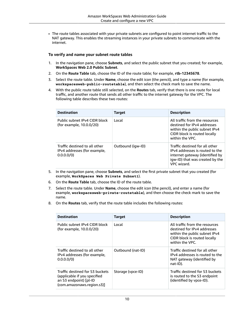• The route tables associated with your private subnets are configured to point internet traffic to the NAT gateway. This enables the streaming instances in your private subnets to communicate with the internet.

### **To verify and name your subnet route tables**

- 1. In the navigation pane, choose **Subnets**, and select the public subnet that you created; for example, **WorkSpaces Web 2.0 Public Subnet**.
- 2. On the **Route Table** tab, choose the ID of the route table; for example, **rtb-12345678**.
- 3. Select the route table. Under **Name**, choose the edit icon (the pencil), and type a name (for example, **workspacesweb-public-routetable**), and then select the check mark to save the name.
- 4. With the public route table still selected, on the **Routes** tab, verify that there is one route for local traffic, and another route that sends all other traffic to the internet gateway for the VPC. The following table describes these two routes:

| <b>Destination</b>                                                          | <b>Target</b>     | <b>Description</b>                                                                                                                                     |
|-----------------------------------------------------------------------------|-------------------|--------------------------------------------------------------------------------------------------------------------------------------------------------|
| Public subnet IPv4 CIDR block<br>(for example, 10.0.0/20)                   | Local             | All traffic from the resources<br>destined for IPv4 addresses<br>within the public subnet IPv4<br>CIDR block is routed locally<br>within the VPC.      |
| Traffic destined to all other<br>IPv4 addresses (for example,<br>0.0.0.0/0) | Outbound (igw-ID) | Traffic destined for all other<br>IPv4 addresses is routed to the<br>internet gateway (identified by<br>igw-ID) that was created by the<br>VPC wizard. |

- 5. In the navigation pane, choose **Subnets**, and select the first private subnet that you created (for example, **WorkSpaces Web Private Subnet1**).
- 6. On the **Route Table** tab, choose the ID of the route table.
- 7. Select the route table. Under **Name**, choose the edit icon (the pencil), and enter a name (for example, **workspacesweb-private-routetable**), and then choose the check mark to save the name.
- 8. On the **Routes** tab, verify that the route table includes the following routes:

| <b>Destination</b>                                                                                                      | <b>Target</b>     | <b>Description</b>                                                                                                                                |
|-------------------------------------------------------------------------------------------------------------------------|-------------------|---------------------------------------------------------------------------------------------------------------------------------------------------|
| Public subnet IPv4 CIDR block<br>(for example, 10.0.0/20)                                                               | Local             | All traffic from the resources<br>destined for IPv4 addresses<br>within the public subnet IPv4<br>CIDR block is routed locally<br>within the VPC. |
| Traffic destined to all other<br>IPv4 addresses (for example,<br>0.0.0.0/0)                                             | Outbound (nat-ID) | Traffic destined for all other<br>IPv4 addresses is routed to the<br>NAT gateway (identified by<br>$nat-ID$ ).                                    |
| Traffic destined for S3 buckets<br>(applicable if you specified<br>an S3 endpoint) [pl-ID<br>(com.amazonaws.region.s3)] | Storage (vpce-ID) | Traffic destined for S3 buckets<br>is routed to the S3 endpoint<br>(identified by vpce-ID).                                                       |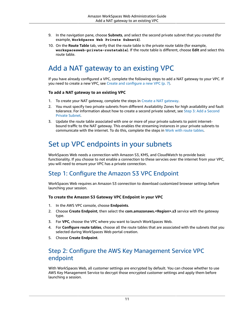- 9. In the navigation pane, choose **Subnets**, and select the second private subnet that you created (for example, **WorkSpaces Web Private Subnet2**).
- 10. On the **Route Table** tab, verify that the route table is the private route table (for example, **workspacesweb-private-routetable**). If the route table is different, choose **Edit** and select this route table.

# <span id="page-14-0"></span>Add a NAT gateway to an existing VPC

If you have already configured a VPC, complete the following steps to add a NAT gateway to your VPC. If you need to create a new VPC, see Create and [configure](#page-10-2) a new VP[C \(p. 7\).](#page-10-2)

### **To add a NAT gateway to an existing VPC**

- 1. To create your NAT gateway, complete the steps in Create a NAT [gateway](https://docs.aws.amazon.com/vpc/latest/userguide/vpc-nat-gateway.html#nat-gateway-creating).
- 2. You must specify two private subnets from different Availability Zones for high availability and fault tolerance. For information about how to create a second private subnet, see Step 3: Add a [Second](https://docs.aws.amazon.com/appstream2/latest/developerguide/create-configure-new-vpc-with-private-public-subnets-nat.html#vpc-with-private-and-public-subnets-add-private-subnet-nat) [Private Subnet.](https://docs.aws.amazon.com/appstream2/latest/developerguide/create-configure-new-vpc-with-private-public-subnets-nat.html#vpc-with-private-and-public-subnets-add-private-subnet-nat)
- 3. Update the route table associated with one or more of your private subnets to point internetbound traffic to the NAT gateway. This enables the streaming instances in your private subnets to communicate with the internet. To do this, complete the steps in Work with route [tables.](https://docs.aws.amazon.com/vpc/latest/userguide/WorkWithRouteTables.html)

# <span id="page-14-1"></span>Set up VPC endpoints in your subnets

WorkSpaces Web needs a connection with Amazon S3, KMS, and CloudWatch to provide basic functionality. If you choose to not enable a connection to these servcies over the internet from your VPC, you will need to ensure your VPC has a private connection.

## Step 1: Configure the Amazon S3 VPC Endpoint

WorkSpaces Web requires an Amazon S3 connection to download customized browser settings before launching your session.

### **To create the Amazon S3 Gateway VPC Endpoint in your VPC**

- 1. In the AWS VPC console, choose **Endpoints**.
- 2. Choose **Create Endpoint**, then select the **com.amazonaws.<Region>.s3** service with the gateway type.
- 3. For **VPC**, choose the VPC where you want to launch WorkSpaces Web.
- 4. For **Configure route tables**, choose all the route tables that are associated with the subnets that you selected during WorkSpaces Web portal creation.
- 5. Choose **Create Endpoint**.

## Step 2: Configure the AWS Key Management Service VPC endpoint

With WorkSpaces Web, all customer settings are encrypted by default. You can choose whether to use AWS Key Management Service to decrypt those encrypted customer settings and apply them before launching a session.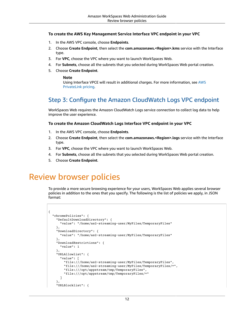### **To create the AWS Key Management Service Interface VPC endpoint in your VPC**

- 1. In the AWS VPC console, choose **Endpoints**.
- 2. Choose **Create Endpoint**, then select the **com.amazonaws.<Region>.kms** service with the Interface type.
- 3. For **VPC**, choose the VPC where you want to launch WorkSpaces Web.
- 4. For **Subnets**, choose all the subnets that you selected during WorkSpaces Web portal creation.
- 5. Choose **Create Endpoint**.

### **Note**

Using Interface VPCE will result in additional charges. For more information, see [AWS](https://aws.amazon.com/privatelink/pricing/) [PrivateLink pricing](https://aws.amazon.com/privatelink/pricing/).

## Step 3: Configure the Amazon CloudWatch Logs VPC endpoint

WorkSpaces Web requires the Amazon CloudWatch Logs service connection to collect log data to help improve the user experience.

### **To create the Amazon CloudWatch Logs Interface VPC endpoint in your VPC**

- 1. In the AWS VPC console, choose **Endpoints**.
- 2. Choose **Create Endpoint**, then select the **com.amazonaws.<Region>.logs** service with the Interface type.
- 3. For **VPC**, choose the VPC where you want to launch WorkSpaces Web.
- 4. For **Subnets**, choose all the subnets that you selected during WorkSpaces Web portal creation.
- 5. Choose **Create Endpoint**.

# <span id="page-15-0"></span>Review browser policies

To provide a more secure browsing experience for your users, WorkSpaces Web applies several browser policies in addition to the ones that you specify. The following is the list of policies we apply, in JSON format:

```
{
   "chromePolicies": {
     "DefaultDownloadDirectory": {
       "value": "/home/as2-streaming-user/MyFiles/TemporaryFiles"
     },
     "DownloadDirectory": {
       "value": "/home/as2-streaming-user/MyFiles/TemporaryFiles"
     },
     "DownloadRestrictions": {
       "value": 1
     },
     "URLAllowlist": {
       "value": [
         "file:///home/as2-streaming-user/MyFiles/TemporaryFiles",
         "file:///home/as2-streaming-user/MyFiles/TemporaryFiles/*",
         "file:///opt/appstream/tmp/TemporaryFiles",
         "file:///opt/appstream/tmp/TemporaryFiles/*"
       ]
     },
     "URLBlocklist": {
```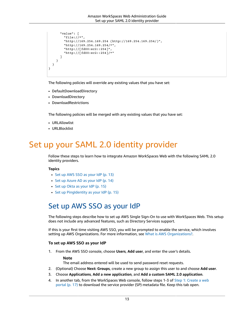```
 "value": [
         "file://*",
         "http://169.254.169.254 (http://169.254.169.254/)",
         "http://169.254.169.254/*",
          "http://[fd00:ec2::254]",
         "http://[fd00:ec2::254]/*"
       ]
     }
   }
}
```
The following policies will override any existing values that you have set:

- DefaultDownloadDirectory
- DownloadDirectory
- DownloadRestrictions

The following policies will be merged with any existing values that you have set:

- URLAllowlist
- URLBlocklist

# <span id="page-16-0"></span>Set up your SAML 2.0 identity provider

Follow these steps to learn how to integrate Amazon WorkSpaces Web with the following SAML 2.0 identity providers.

### **Topics**

- Set up AWS SSO as your [IdP \(p. 13\)](#page-16-1)
- Set up Azure AD as your [IdP \(p. 14\)](#page-17-0)
- Set up Okta as your [IdP \(p. 15\)](#page-18-0)
- Set up [PingIdentity](#page-18-1) as your IdP (p. 15)

## <span id="page-16-1"></span>Set up AWS SSO as your IdP

The following steps describe how to set up AWS Single Sign-On to use with WorkSpaces Web. This setup does not include any advanced features, such as Directory Services support.

If this is your first time visiting AWS SSO, you will be prompted to enable the service, which involves setting up AWS Organizations. For more information, see What is AWS [Organizations?](https://docs.aws.amazon.com/organizations/latest/userguide/orgs_introduction.html).

### **To set up AWS SSO as your IdP**

1. From the AWS SSO console, choose **Users**, **Add user**, and enter the user's details.

### **Note**

The email address entered will be used to send password reset requests.

- 2. (Optional) Choose **Next: Groups**, create a new group to assign this user to and choose **Add user**.
- 3. Choose **Applications**, **Add a new application**, and **Add a custom SAML 2.0 application**.
- 4. In another tab, from the WorkSpaces Web console, follow steps 1-3 of Step 1: [Create](#page-20-2) a web [portal \(p. 17\)](#page-20-2) to download the service provider (SP) metadata file. Keep this tab open.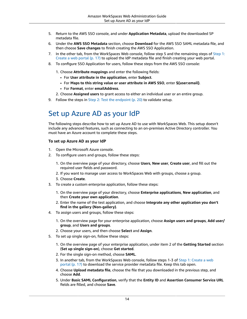- 5. Return to the AWS SSO console, and under **Application Metadata**, upload the downloaded SP metadata file.
- 6. Under the **AWS SSO Metadata** section, choose **Download** for the AWS SSO SAML metadata file, and then choose **Save changes** to finish creating the AWS SSO Application.
- 7. In the other tab, from the WorkSpaces Web console, follow step 5 and the remaining steps of [Step 1:](#page-20-2) [Create](#page-20-2) a web porta[l \(p. 17\)](#page-20-2) to upload the IdP metadata file and finish creating your web portal.
- 8. To configure SSO Application for users, follow these steps from the AWS SSO console:
	- 1. Choose **Attribute mappings** and enter the following fields:
		- For **User attribute in the application**, enter **Subject**.
		- For **Maps to this string value or user attribute in AWS SSO**, enter **\${user:email}**.
		- For **Format**, enter **emailAddress**.
	- 2. Choose **Assigned users** to grant access to either an individual user or an entire group.
- 9. Follow the steps in Step 2: Test the endpoint  $(p. 20)$  to validate setup.

## <span id="page-17-0"></span>Set up Azure AD as your IdP

The following steps describe how to set up Azure AD to use with WorkSpaces Web. This setup doesn't include any advanced features, such as connecting to an on-premises Active Directory controller. You must have an Azure account to complete these steps.

### **To set up Azure AD as your IdP**

- 1. Open the Microsoft Azure console.
- 2. To configure users and groups, follow these steps:
	- 1. On the overview page of your directory, choose **Users**, **New user**, **Create user**, and fill out the required user fields and password.
	- 2. If you want to manage user access to WorkSpaces Web with groups, choose a group.
	- 3. Choose **Create**.
- 3. To create a custom enterprise application, follow these steps:
	- 1. On the overview page of your directory, choose **Enterprise applications**, **New application**, and then **Create your own application**.
	- 2. Enter the name of the test application, and choose **Integrate any other application you don't find in the gallery (Non-gallery)**.
- 4. To assign users and groups, follow these steps:
	- 1. On the overview page for your enterprise application, choose **Assign users and groups**, **Add user/ group**, and **Users and groups**.
	- 2. Choose your users, and then choose **Select** and **Assign**.
- 5. To set up single sign-on, follow these steps:
	- 1. On the overview page of your enterprise application, under item 2 of the **Getting Started** section (**Set up single sign-on**), choose **Get started**.
	- 2. For the single sign-on method, choose **SAML**.
	- 3. In another tab, from the WorkSpaces Web console, follow steps 1-3 of Step 1: [Create](#page-20-2) a web [portal \(p. 17\)](#page-20-2) to download the service provider metadata file. Keep this tab open.
	- 4. Choose **Upload metadata file**, choose the file that you downloaded in the previous step, and choose **Add**.
	- 5. Under **Basic SAML Configuration**, verify that the **Entity ID** and **Assertion Consumer Service URL** fields are filled, and choose **Save**.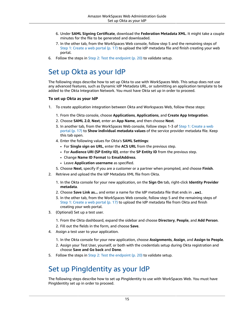- 6. Under **SAML Signing Certificate**, download the **Federation Metadata XML**. It might take a couple minutes for the file to be generated and downloaded.
- 7. In the other tab, from the WorkSpaces Web console, follow step 5 and the remaining steps of Step 1: [Create](#page-20-2) a web portal [\(p. 17\)](#page-20-2) to upload the IdP metadata file and finish creating your web portal.
- 6. Follow the steps in Step 2: Test the [endpoint \(p. 20\)](#page-23-0) to validate setup.

# <span id="page-18-0"></span>Set up Okta as your IdP

The following steps describe how to set up Okta to use with WorkSpaces Web. This setup does not use any advanced features, such as Dynamic IdP Metadata URL, or submitting an application template to be added to the Okta Integration Network. You must have Okta set up in order to proceed.

### **To set up Okta as your IdP**

- 1. To create application integration between Okta and Workspaces Web, follow these steps:
	- 1. From the Okta console, choose **Applications**, **Applications**, and **Create App Integration**.
	- 2. Choose **SAML 2.0**, **Next**, enter an **App Name**, and then choose **Next**.
	- 3. In another tab, from the WorkSpaces Web console, follow steps 1-3 of Step 1: [Create](#page-20-2) a web [portal \(p. 17\)](#page-20-2) to **Show individual metadata values** of the service provider metadata file. Keep this tab open.
	- 4. Enter the following values for Okta's **SAML Settings**:
		- For **Single sign on URL**, enter the **ACS URL** from the previous step.
		- For **Audience URI (SP Entity ID)**, enter the **SP Entity ID** from the previous step.
		- Change **Name ID Format** to **EmailAddress**.
		- Leave **Application username** as specified.
	- 5. Choose **Next**, specify if you are a customer or a partner when prompted, and choose **Finish**.
- 2. Retrieve and upload the the IdP Metadata XML file from Okta.
	- 1. In the Okta console for your new application, on the **Sign On** tab, right-click **Identity Provider metadata**.
	- 2. Choose **Save Link as...** and enter a name for the IdP metadata file that ends in **.xml**.
	- 3. In the other tab, from the WorkSpaces Web console, follow step 5 and the remaining steps of Step 1: [Create](#page-20-2) a web portal [\(p. 17\)](#page-20-2) to upload the IdP metadata file from Okta and finish creating your web portal.
- 3. (Optional) Set up a test user.
	- 1. From the Okta dashboard, expand the sidebar and choose **Directory**, **People**, and **Add Person**.
	- 2. Fill out the fields in the form, and choose **Save**.
- 4. Assign a test user to your application.
	- 1. In the Okta console for your new application, choose **Assignments**, **Assign**, and **Assign to People**.
	- 2. Assign your Test User, yourself, or both with the credentials setup during Okta registration and choose **Save and Go back** and **Done**.
- 5. Follow the steps in Step 2: Test the [endpoint \(p. 20\)](#page-23-0) to validate setup.

## <span id="page-18-1"></span>Set up PingIdentity as your IdP

The following steps describe how to set up PingIdentity to use with WorkSpaces Web. You must have PingIdentity set up in order to proceed.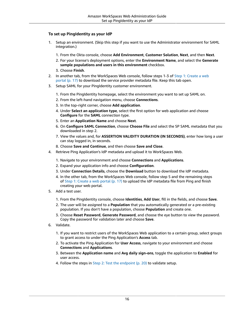### **To set up PingIdentity as your IdP**

- 1. Setup an environment. (Skip this step if you want to use the Administrator environment for SAML integration.)
	- 1. From the Okta console, choose **Add Environment**, **Customer Solution**, **Next**, and then **Next**.
	- 2. For your license's deployment options, enter the **Environment Name**, and select the **Generate sample populations and users in this environment** checkbox.
	- 3. Choose **Finish**.
- 2. In another tab, from the WorkSpaces Web console, follow steps 1-3 of Step 1: [Create](#page-20-2) a web [portal \(p. 17\)](#page-20-2) to download the service provider metadata file. Keep this tab open.
- 3. Setup SAML for your PingIdentity customer environment.
	- 1. From the PingIdentity homepage, select the environment you want to set up SAML on.
	- 2. From the left-hand navigation menu, choose **Connections**.
	- 3. In the top-right corner, choose **Add application**.
	- 4. Under **Select an application type**, select the first option for web application and choose **Configure** for the **SAML** connection type.
	- 5. Enter an **Application Name** and choose **Next**.
	- 6. On **Configure SAML Connection**, choose **Choose File** and select the SP SAML metadata that you downloaded in step 2.
	- 7. View the values and, for **ASSERTION VALIDITY DURATION (IN SECONDS)**, enter how long a user can stay logged in, in seconds.
	- 8. Choose **Save and Continue**, and then choose **Save and Close**.
- 4. Retrieve Ping Application's IdP metadata and upload it to WorkSpaces Web.
	- 1. Navigate to your environment and choose **Connections** and **Applications**.
	- 2. Expand your application info and choose **Configuration**.
	- 3. Under **Connection Details**, choose the **Download** button to download the IdP metadata.
	- 4. In the other tab, from the WorkSpaces Web console, follow step 5 and the remaining steps of Step 1: [Create](#page-20-2) a web porta[l \(p. 17\)](#page-20-2) to upload the IdP metadata file from Ping and finish creating your web portal.
- 5. Add a test user.
	- 1. From the PingIdentity console, choose **Identities**, **Add User**, fill in the fields, and choose **Save**.
	- 2. The user will be assigned to a **Population** that you automatically generated or a pre-existing population. If you don't have a population, choose **Population** and create one.
	- 3. Choose **Reset Password**, **Generate Password**, and choose the eye button to view the password. Copy the password for validation later and choose **Save**.
- 6. Validate.
	- 1. If you want to restrict users of the WorkSpaces Web application to a certain group, select groups to grant access to under the Ping Application's **Access** tab.
	- 2. To activate the Ping Application for **User Access**, navigate to your environment and choose **Connections** and **Applications**.
	- 3. Between the **Application name** and **Avg daily sign-ons**, toggle the application to **Enabled** for user access.
	- 4. Follow the steps in Step 2: Test the [endpoint \(p. 20\)](#page-23-0) to validate setup.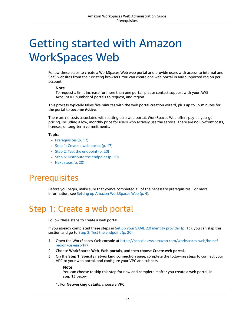# <span id="page-20-0"></span>Getting started with Amazon WorkSpaces Web

Follow these steps to create a WorkSpaces Web web portal and provide users with access to internal and SaaS websites from their existing browsers. You can create one web portal in any supported region per account.

### **Note**

To request a limit increase for more than one portal, please contact support with your AWS Account ID, number of portals to request, and region.

This process typically takes five minutes with the web portal creation wizard, plus up to 15 minutes for the portal to become **Active**.

There are no costs associated with setting up a web portal. WorkSpaces Web offers pay-as-you-go pricing, including a low, monthly price for users who actively use the service. There are no up-front costs, licenses, or long-term commitments.

### **Topics**

- [Prerequisites \(p. 17\)](#page-20-1)
- Step 1: Create a web [portal \(p. 17\)](#page-20-2)
- Step 2: Test the [endpoint \(p. 20\)](#page-23-0)
- [Step 3: Distribute the endpoint \(p. 20\)](#page-23-1)
- Next [steps \(p. 20\)](#page-23-2)

# <span id="page-20-1"></span>**Prerequisites**

Before you begin, make sure that you've completed all of the necessary prerequisites. For more information, see Setting up Amazon [WorkSpaces](#page-7-0) We[b \(p. 4\).](#page-7-0)

# <span id="page-20-2"></span>Step 1: Create a web portal

Follow these steps to create a web portal.

If you already completed these steps in Set up your SAML 2.0 identity [provider \(p. 13\),](#page-16-0) you can skip this section and go to Step 2: Test the [endpoint \(p. 20\).](#page-23-0)

- 1. Open the WorkSpaces Web console at [https://console.aws.amazon.com/workspaces-web/home?](https://console.aws.amazon.com/workspaces-web/home?region=us-east-1#/) [region=us-east-1#/](https://console.aws.amazon.com/workspaces-web/home?region=us-east-1#/).
- 2. Choose **WorkSpaces Web**, **Web portals**, and then choose **Create web portal**.
- 3. On the **Step 1: Specify networking connection** page, complete the following steps to connect your VPC to your web portal, and configure your VPC and subnets.

### **Note**

You can choose to skip this step for now and complete it after you create a web portal, in step 13 below.

1. For **Networking details**, choose a VPC.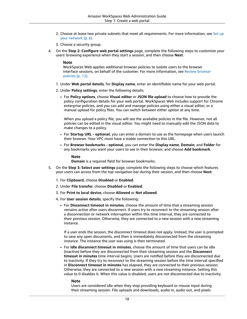- 2. Choose at lease two private subnets that meet all requirements. For more information, see [Set up](#page-9-1) your [network \(p. 6\).](#page-9-1)
- 3. Choose a security group.
- 4. On the **Step 2: Configure web portal settings** page, complete the following steps to customize your users' browsing experience when they start a session, and then choose **Next**:

#### **Note**

WorkSpaces Web applies additional browser policies to isolate users to the browser interface sessions, on behalf of the customer. For more information, see Review [browser](#page-15-0) [policies \(p. 12\).](#page-15-0)

- 1. Under **Web portal details**, for **Display name**, enter an identifiable name for your web portal.
- 2. Under **Policy settings**, enter the following details:
	- For **Policy options**, choose **Visual editor** or **JSON file upload** to choose how to provide the policy configuration details for your web portal. WorkSpaces Web includes support for Chrome enterprise policies, and you can add and manage policies using either a visual editor, or a manual upload for policy files. You can switch between either option at any time.

When you upload a policy file, you will see the available policies in the file. However, not all policies can be edited in the visual editor. You might need to manually edit the JSON data to make changes to a policy.

- For **Startup URL - optional**, you can enter a domain to use as the homepage when users launch their browser. Your VPC must have a stable connection to this URL.
- For **Browser bookmarks - optional**, you can enter the **Display name**, **Domain**, and **Folder** for any bookmarks you want your users to see in their browser, and choose **Add bookmark**.

#### **Note**

**Domain** is a required field for browser bookmarks.

- 5. On the **Step 3: Select user settings** page, complete the following steps to choose which features your users can access from the top navigation bar during their session, and then choose **Next**:
	- 1. For **Clipboard**, choose **Disabled** or **Enabled**.
	- 2. Under **File transfer**, choose **Disabled** or **Enabled**.
	- 3. For **Print to local device**, choose **Allowed** or **Not allowed**.
	- 4. For **User session details**, specify the following:
		- For **Disconnect timeout in minutes**, choose the amount of time that a streaming session remains active after users disconnect. If users try to reconnect to the streaming session after a disconnection or network interruption within this time interval, they are connected to their previous session. Otherwise, they are connected to a new session with a new streaming instance.

If a user ends the session, the disconnect timeout does not apply. Instead, the user is prompted to save any open documents, and then is immediately disconnected from the streaming instance. The instance the user was using is then terminated.

• For **Idle disconnect timeout in minutes**, choose the amount of time that users can be idle (inactive) before they are disconnected from their streaming session and the **Disconnect timeout in minutes** time interval begins. Users are notified before they are disconnected due to inactivity. If they try to reconnect to the streaming session before the time interval specified in **Disconnect timeout in minutes** has elapsed, they are connected to their previous session. Otherwise, they are connected to a new session with a new streaming instance. Setting this value to 0 disables it. When this value is disabled, users are not disconnected due to inactivity.

#### **Note**

Users are considered idle when they stop providing keyboard or mouse input during their streaming session. File uploads and downloads, audio in, audio out, and pixels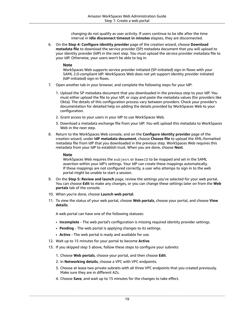changing do not qualify as user activity. If users continue to be idle after the time interval in **Idle disconnect timeout in minutes** elapses, they are disconnected.

6. On the **Step 4: Configure identity provider** page of the creation wizard, choose **Download metadata file** to download the service provider (SP) metadata document that you will upload to your identity provider (IdP) in the next step. You must upload the service provider metadata file to your IdP. Otherwise, your users won't be able to log in.

### **Note**

WorkSpaces Web supports service provider initiated (SP-initiated) sign-in flows with your SAML 2.0-compliant IdP. WorkSpaces Web does not yet support identity provider initiated (IdP-initiated) sign-in flows.

- 7. Open another tab in your browser, and complete the following steps for your IdP:
	- 1. Upload the SP metadata document that you downloaded in the previous step to your IdP. You must either upload the file to your IdP, or copy and paste the metadata values (for providers like Okta). The details of this configuration process vary between providers. Check your provider's documentation for detailed help on adding the details provided by WorkSpaces Web to your configuration.
	- 2. Grant access to your users in your IdP to use WorkSpaces Web.
	- 3. Download a metadata exchange file from your IdP. You will upload this metadata to WorkSpaces Web in the next step.
- 8. Return to the WorkSpaces Web console, and on the **Configure identity provider** page of the creation wizard, under **IdP metadata document**, choose **Choose file** to upload the XML-formatted metadata file from IdP that you downloaded in the previous step. WorkSpaces Web requires this metadata from your IdP to establish trust. When you are done, choose **Next**.

### **Note**

WorkSpaces Web requires the subject or NameID to be mapped and set in the SAML assertion within your IdP's settings. Your IdP can create these mappings automatically. If these mappings are not configured correctly, a user who attemps to sign in to the web portal might be unable to start a session.

- 9. On the **Step 5: Review and launch** page, review the settings you've selected for your web portal. You can choose **Edit** to make any changes, or you can change these settings later on from the **Web portals** tab of the console.
- 10. When you're done, choose **Launch web portal**.
- 11. To view the status of your web portal, choose **Web portals**, choose your portal, and choose **View details**.

A web portal can have one of the following statuses:

- **Incomplete** The web portal's configuration is missing required identity provider settings.
- **Pending** The web portal is applying changes to its settings.
- **Active** The web portal is ready and available for use.
- 12. Wait up to 15 minutes for your portal to become **Active**.
- 13. If you skipped step 3 above, follow these steps to configure your subnets:
	- 1. Choose **Web portals**, choose your portal, and then choose **Edit**.
	- 2. In **Networking details**, choose a VPC with VPC endpoints.
	- 3. Choose at lease two private subnets with all three VPC endpoints that you created previously. Make sure they are in different AZs.
	- 4. Choose **Save**, and wait up to 15 minutes for the changes to take effect.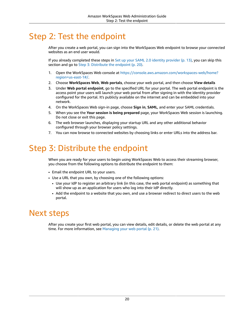# <span id="page-23-0"></span>Step 2: Test the endpoint

After you create a web portal, you can sign into the WorkSpaces Web endpoint to browse your connected websites as an end user would.

If you already completed these steps in Set up your SAML 2.0 identity [provider \(p. 13\),](#page-16-0) you can skip this section and go to [Step 3: Distribute the endpoint \(p. 20\).](#page-23-1)

- 1. Open the WorkSpaces Web console at [https://console.aws.amazon.com/workspaces-web/home?](https://console.aws.amazon.com/workspaces-web/home?region=us-east-1#/) [region=us-east-1#/](https://console.aws.amazon.com/workspaces-web/home?region=us-east-1#/).
- 2. Choose **WorkSpaces Web**, **Web portals**, choose your web portal, and then choose **View details**
- 3. Under **Web portal endpoint**, go to the specified URL for your portal. The web portal endpoint is the access point your users will launch your web portal from after signing in with the identity provider configured for the portal. It's publicly available on the internet and can be embedded into your network.
- 4. On the WorkSpaces Web sign-in page, choose **Sign in**, **SAML**, and enter your SAML credentials.
- 5. When you see the **Your session is being prepared** page, your WorkSpaces Web session is launching. Do not close or exit this page.
- 6. The web browser launches, displaying your startup URL and any other additional behavior configured through your browser policy settings.
- 7. You can now browse to connected websites by choosing links or enter URLs into the address bar.

# <span id="page-23-1"></span>Step 3: Distribute the endpoint

When you are ready for your users to begin using WorkSpaces Web to access their streaming browser, you choose from the following options to distribute the endpoint to them:

- Email the endpoint URL to your users.
- Use a URL that you own, by choosing one of the following options:
	- Use your IdP to register an arbitrary link (in this case, the web portal endpoint) as something that will show up as an application for users who log into their IdP directly.
	- Add the endpoint to a website that you own, and use a browser redirect to direct users to the web portal.

# <span id="page-23-2"></span>Next steps

After you create your first web portal, you can view details, edit details, or delete the web portal at any time. For more information, see [Managing](#page-24-0) your web porta[l \(p. 21\)](#page-24-0).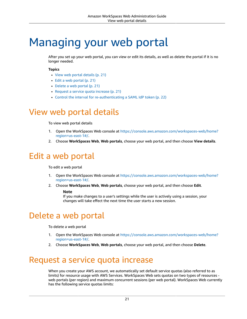# <span id="page-24-0"></span>Managing your web portal

After you set up your web portal, you can view or edit its details, as well as delete the portal if it is no longer needed.

### **Topics**

- View web portal [details \(p. 21\)](#page-24-1)
- Edit a web [portal \(p. 21\)](#page-24-2)
- Delete a web [portal \(p. 21\)](#page-24-3)
- Request a service quota [increase \(p. 21\)](#page-24-4)
- Control the interval for [re-authenticating](#page-25-0) a SAML IdP token (p. 22)

# <span id="page-24-1"></span>View web portal details

To view web portal details

- 1. Open the WorkSpaces Web console at [https://console.aws.amazon.com/workspaces-web/home?](https://console.aws.amazon.com/workspaces-web/home?region=us-east-1#/) [region=us-east-1#/](https://console.aws.amazon.com/workspaces-web/home?region=us-east-1#/).
- 2. Choose **WorkSpaces Web**, **Web portals**, choose your web portal, and then choose **View details**.

# <span id="page-24-2"></span>Edit a web portal

### To edit a web portal

- 1. Open the WorkSpaces Web console at [https://console.aws.amazon.com/workspaces-web/home?](https://console.aws.amazon.com/workspaces-web/home?region=us-east-1#/) [region=us-east-1#/](https://console.aws.amazon.com/workspaces-web/home?region=us-east-1#/).
- 2. Choose **WorkSpaces Web**, **Web portals**, choose your web portal, and then choose **Edit**.

### **Note**

If you make changes to a user's settings while the user is actively using a session, your changes will take effect the next time the user starts a new session.

# <span id="page-24-3"></span>Delete a web portal

To delete a web portal

- 1. Open the WorkSpaces Web console at [https://console.aws.amazon.com/workspaces-web/home?](https://console.aws.amazon.com/workspaces-web/home?region=us-east-1#/) [region=us-east-1#/](https://console.aws.amazon.com/workspaces-web/home?region=us-east-1#/).
- 2. Choose **WorkSpaces Web**, **Web portals**, choose your web portal, and then choose **Delete**.

# <span id="page-24-4"></span>Request a service quota increase

When you create your AWS account, we automatically set default service quotas (also referred to as limits) for resource usage with AWS Services. WorkSpaces Web sets quotas on two types of resources web portals (per region) and maximum concurrent sessions (per web portal). WorkSpaces Web currently has the following service quotas limits: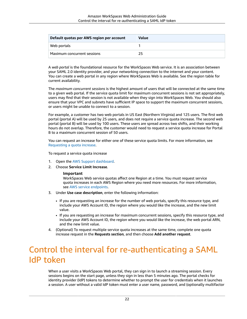| Default quotas per AWS region per account | Value |
|-------------------------------------------|-------|
| Web portals                               |       |
| Maximum concurrent sessions               |       |

A *web portal* is the foundational resource for the WorkSpaces Web service. It is an association between your SAML 2.0 identity provider, and your networking connection to the internet and your content. You can create a web portal in any region where WorkSpaces Web is available. See the region table for current availability.

The *maximum concurrent sessions* is the highest amount of users that will be connected at the same time to a given web portal. If the service quota limit for maximum concurrent sessions is not set appropriately, users may find that their session is not available when they sign into WorkSpaces Web. You should also ensure that your VPC and subnets have sufficient IP space to support the maximum concurrent sessions, or users might be unable to connect to a session.

For example, a customer has two web portals in US East (Northern Virginia) and 125 users. The first web portal (portal A) will be used by 25 users, and does not require a service quota increase. The second web portal (portal B) will be used by 100 users. These users are spread across two shifts, and their working hours do not overlap. Therefore, the customer would need to request a service quota increase for Portal B to a maximum concurrent session of 50 users.

You can request an increase for either one of these service quota limits. For more information, see [Requesting](https://docs.aws.amazon.com/servicequotas/latest/userguide/request-quota-increase.html) a quota increase.

To request a service quota increase

- 1. Open the AWS Support [dashboard](https://console.aws.amazon.com/support/cases#/create).
- 2. Choose **Service Limit Increase**.

### **Important**

WorkSpaces Web service quotas affect one Region at a time. You must request service quota increases in each AWS Region where you need more resources. For more information, see AWS service [endpoints.](https://docs.aws.amazon.com/general/latest/gr/rande.html)

- 3. Under **Use case description**, enter the following information:
	- If you are requesting an increase for the number of web portals, specify this resource type, and include your AWS Account ID, the region where you would like the increase, and the new limit value.
	- If you are requesting an increase for maximum concurrent sessions, specify this resource type, and include your AWS Account ID, the region where you would like the increase, the web portal ARN, and the new limit value.
- 4. (Optional) To request multiple service quota increases at the same time, complete one quota increase request in the **Requests section**, and then choose **Add another request**.

# <span id="page-25-0"></span>Control the interval for re-authenticating a SAML IdP token

When a user visits a WorkSpaces Web portal, they can sign in to launch a streaming session. Every sessions begins on the start page, unless they sign in less than 5 minutes ago. The portal checks for identity provider (IdP) tokens to determine whether to prompt the user for credentials when it launches a session. A user without a valid IdP token must enter a user name, password, and (optionally multifactor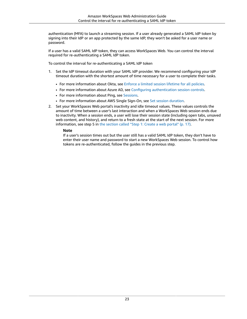authentication (MFA) to launch a streaming session. If a user already generated a SAML IdP token by signing into their IdP or an app protected by the same IdP, they won't be asked for a user name or password.

If a user has a valid SAML IdP token, they can access WorkSpaces Web. You can control the interval required for re-authenticating a SAML IdP token.

To control the interval for re-authenticating a SAML IdP token

- 1. Set the IdP timeout duration with your SAML IdP provider. We recommend configuring your IdP timeout duration with the shortest amount of time necessary for a user to complete their tasks.
	- For more information about Okta, see Enforce a limited session [lifetime](https://help.okta.com/en/prod/Content/Topics/Security/healthinsight/session-lifetime.htm) for all policies.
	- For more information about Azure AD, see Configuring [authentication](https://docs.microsoft.com/en-us/azure/active-directory/conditional-access/howto-conditional-access-session-lifetime#configuring-authentication-session-controls) session controls.
	- For more information about Ping, see [Sessions](https://docs.pingidentity.com/bundle/pingfederate-93/page/pqn1564002990312.html).
	- For more information about AWS Single Sign-On, see [Set session duration.](https://docs.aws.amazon.com/singlesignon/latest/userguide/howtosessionduration.html)
- 2. Set your WorkSpaces Web portal's inactivity and idle timeout values. These values controls the amount of time between a user's last interaction and when a WorkSpaces Web session ends due to inactivity. When a session ends, a user will lose their session state (including open tabs, unsaved web content, and history), and return to a fresh state at the start of the next session. For more information, see step 5 in the [section](#page-20-2) called "Step 1: Create a web portal" [\(p. 17\).](#page-20-2)

### **Note**

If a user's session times out but the user still has a valid SAML IdP token, they don't have to enter their user name and password to start a new WorkSpaces Web session. To control how tokens are re-authenticated, follow the guides in the previous step.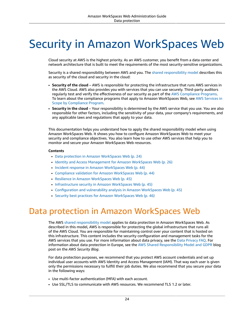# <span id="page-27-0"></span>Security in Amazon WorkSpaces Web

Cloud security at AWS is the highest priority. As an AWS customer, you benefit from a data center and network architecture that is built to meet the requirements of the most security-sensitive organizations.

Security is a shared [responsibility](http://aws.amazon.com/compliance/shared-responsibility-model/) between AWS and you. The shared responsibility model describes this as security of the cloud and security in the cloud:

- **Security of the cloud** AWS is responsible for protecting the infrastructure that runs AWS services in the AWS Cloud. AWS also provides you with services that you can use securely. Third-party auditors regularly test and verify the effectiveness of our security as part of the AWS [Compliance](http://aws.amazon.com/compliance/programs/) Programs. To learn about the compliance programs that apply to Amazon WorkSpaces Web, see AWS [Services](http://aws.amazon.com/compliance/services-in-scope/) in Scope by [Compliance](http://aws.amazon.com/compliance/services-in-scope/) Program.
- **Security in the cloud** Your responsibility is determined by the AWS service that you use. You are also responsible for other factors, including the sensitivity of your data, your company's requirements, and any applicable laws and regulations that apply to your data.

This documentation helps you understand how to apply the shared responsibility model when using Amazon WorkSpaces Web. It shows you how to configure Amazon WorkSpaces Web to meet your security and compliance objectives. You also learn how to use other AWS services that help you to monitor and secure your Amazon WorkSpaces Web resources.

### **Contents**

- Data protection in Amazon [WorkSpaces](#page-27-1) Web (p. 24)
- Identity and Access [Management](#page-29-1) for Amazon WorkSpaces Web (p. 26)
- Incident response in Amazon [WorkSpaces](#page-47-0) Web (p. 44)
- Compliance validation for Amazon [WorkSpaces](#page-47-1) Web (p. 44)
- Resilience in Amazon [WorkSpaces](#page-48-0) Web (p. 45)
- [Infrastructure](#page-48-1) security in Amazon WorkSpaces Web (p. 45)
- [Configuration](#page-48-2) and vulnerability analysis in Amazon WorkSpaces Web (p. 45)
- Security best practices for Amazon [WorkSpaces](#page-49-0) Web (p. 46)

# <span id="page-27-1"></span>Data protection in Amazon WorkSpaces Web

The AWS shared [responsibility](http://aws.amazon.com/compliance/shared-responsibility-model/) model applies to data protection in Amazon WorkSpaces Web. As described in this model, AWS is responsible for protecting the global infrastructure that runs all of the AWS Cloud. You are responsible for maintaining control over your content that is hosted on this infrastructure. This content includes the security configuration and management tasks for the AWS services that you use. For more information about data privacy, see the Data [Privacy](http://aws.amazon.com/compliance/data-privacy-faq) FAQ. For information about data protection in Europe, see the AWS Shared [Responsibility](http://aws.amazon.com/blogs/security/the-aws-shared-responsibility-model-and-gdpr/) Model and GDPR blog post on the *AWS Security Blog*.

For data protection purposes, we recommend that you protect AWS account credentials and set up individual user accounts with AWS Identity and Access Management (IAM). That way each user is given only the permissions necessary to fulfill their job duties. We also recommend that you secure your data in the following ways:

- Use multi-factor authentication (MFA) with each account.
- Use SSL/TLS to communicate with AWS resources. We recommend TLS 1.2 or later.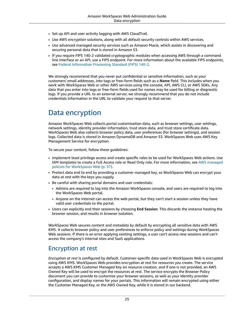- Set up API and user activity logging with AWS CloudTrail.
- Use AWS encryption solutions, along with all default security controls within AWS services.
- Use advanced managed security services such as Amazon Macie, which assists in discovering and securing personal data that is stored in Amazon S3.
- If you require FIPS 140-2 validated cryptographic modules when accessing AWS through a command line interface or an API, use a FIPS endpoint. For more information about the available FIPS endpoints, see Federal [Information](http://aws.amazon.com/compliance/fips/) Processing Standard (FIPS) 140-2.

We strongly recommend that you never put confidential or sensitive information, such as your customers' email addresses, into tags or free-form fields such as a **Name** field. This includes when you work with WorkSpaces Web or other AWS services using the console, API, AWS CLI, or AWS SDKs. Any data that you enter into tags or free-form fields used for names may be used for billing or diagnostic logs. If you provide a URL to an external server, we strongly recommend that you do not include credentials information in the URL to validate your request to that server.

# <span id="page-28-0"></span>Data encryption

Amazon WorkSpaces Web collects portal customization data, such as browser settings, user settings, network settings, identity provider information, trust store data, and trust store certificate data. WorkSpaces Web also collects browser policy data, user preferences (for browser settings), and session logs. Collected data is stored in Amazon DynamoDB and Amazon S3. WorkSpaces Web uses AWS Key Management Service for encryption.

To secure your content, follow these guidelines:

- Implement least privilege access and create specific roles to be used for WorkSpaces Web actions. Use IAM templates to create a Full Access role or Read Only role. For more information, see AWS [managed](#page-40-0) policies for [WorkSpaces](#page-40-0) Web [\(p. 37\).](#page-40-0)
- Protect data end to end by providing a customer managed key, so WorkSpaces Web can encrypt your data at rest with the keys you supply.
- Be careful with sharing portal domains and user credentials:
	- Admins are required to log into the Amazon WorkSpaces console, and users are required to log into the WorkSpaces Web portal.
	- Anyone on the internet can access the web portal, but they can't start a session unless they have valid user credentials to the portal.
- Users can explicitly end their sessions by choosing **End Session**. This discards the instance hosting the browser session, and results in browser isolation.

WorkSpaces Web secures content and metadata by default by encrypting all sensitive data with AWS KMS. It collects browser policy and user preferences to enforce policy and settings during WorkSpaces Web sessions. If there is an error applying existing settings, a user can't access new sessions and can't access the company's internal sites and SaaS applications.

## Encryption at rest

*Encryption at rest* is configured by default. Customer-specific data used in WorkSpaces Web is encrypted using AWS KMS. WorkSpaces Web provides encryption at rest for resources you create. The service accepts a AWS KMS Customer Managed Key on resource creation, and if one is not provided, an AWS Owned Key will be used to encrypt the resources at rest. The service encrypts the Browser Policy document you can provide to customize your browser sessions, as well as your identity provider configuration, and display names for your portals. This information will remain encrypted using either the Customer Managed Key, or the AWS Owned Key, while it is stored in our backend.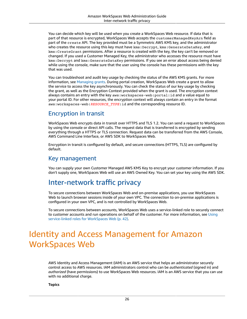You can decide which key will be used when you create a WorkSpaces Web resource. If data that is part of that resource is encrypted, WorkSpaces Web accepts the customerManagedKeyArn field as part of the create API. The key provided must be a Symmetric AWS KMS key, and the administrator who creates the resource using this key must have kms: Decrypt, kms: GenerateDataKey, and kms:CreateGrant permissions. After a resource is created with the key, the key can't be removed or changed. If you used a Customer Managed Key, the administrator who accesses the resource must have kms:Decrypt and kms:GenerateDataKey permissions. If you see an error about access being denied while using the console, make sure that the user using the console has these permissions with the key that was used.

You can troubleshoot and audit key usage by checking the status of the AWS KMS grants. For more information, see [Managing grants.](https://docs.aws.amazon.com/kms/latest/developerguide/grant-manage.html) During portal creation, WorkSpaces Web create a grant to allow the service to access the key asynchronously. You can check the status of our key usage by checking the grant, as well as the Encryption Context provided when the grant is used. The encryption context always contains an entry with the key aws:workspaces-web:portal:id and a value equal to your portal ID. For other resources, the encryption context will always contain an entry in the format aws:workspaces-web:*RESOURCE\_TYPE*:id and the corresponding resource ID.

## Encryption in transit

WorkSpaces Web encrypts data in transit over HTTPS and TLS 1.2. You can send a request to WorkSpaces by using the console or direct API calls. The request data that is transferred is encrypted by sending everything through a HTTPS or TLS connection. Request data can be transferred from the AWS Console, AWS Command Line Interface, or AWS SDK to WorkSpaces Web.

Encryption in transit is configured by default, and secure connections (HTTPS, TLS) are configured by default.

### Key management

You can supply your own Customer Managed AWS KMS Key to encrypt your customer information. If you don't supply one, WorkSpaces Web will use an AWS Owned Key. You can set your key using the AWS SDK.

## <span id="page-29-0"></span>Inter-network traffic privacy

To secure connections between WorkSpaces Web and on-premise applications, you use WorkSpaces Web to launch browser sessions inside of your own VPC. The connection to on-premise applications is configured in your own VPC, and is not controlled by WorkSpaces Web.

To secure connections between accounts, WorkSpaces Web uses a service-linked role to securely connect to customer accounts and run operations on behalf of the customer. For more information, see [Using](#page-45-0) [service-linked](#page-45-0) roles for WorkSpaces We[b \(p. 42\).](#page-45-0)

# <span id="page-29-1"></span>Identity and Access Management for Amazon WorkSpaces Web

AWS Identity and Access Management (IAM) is an AWS service that helps an administrator securely control access to AWS resources. IAM administrators control who can be *authenticated* (signed in) and *authorized* (have permissions) to use WorkSpaces Web resources. IAM is an AWS service that you can use with no additional charge.

**Topics**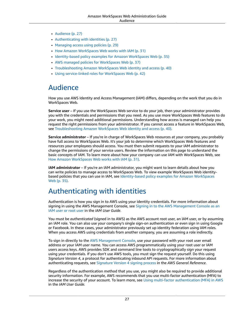- [Audience \(p. 27\)](#page-30-0)
- [Authenticating with identities \(p. 27\)](#page-30-1)
- Managing access using [policies \(p. 29\)](#page-32-0)
- How Amazon [WorkSpaces](#page-34-0) Web works with IAM (p. 31)
- [Identity-based](#page-38-0) policy examples for Amazon WorkSpaces Web (p. 35)
- AWS managed policies for [WorkSpaces](#page-40-0) Web (p. 37)
- [Troubleshooting](#page-43-0) Amazon WorkSpaces Web identity and access (p. 40)
- Using [service-linked](#page-45-0) roles for WorkSpaces Web (p. 42)

# <span id="page-30-0"></span>Audience

How you use AWS Identity and Access Management (IAM) differs, depending on the work that you do in WorkSpaces Web.

**Service user** – If you use the WorkSpaces Web service to do your job, then your administrator provides you with the credentials and permissions that you need. As you use more WorkSpaces Web features to do your work, you might need additional permissions. Understanding how access is managed can help you request the right permissions from your administrator. If you cannot access a feature in WorkSpaces Web, see [Troubleshooting](#page-43-0) Amazon WorkSpaces Web identity and access [\(p. 40\).](#page-43-0)

**Service administrator** – If you're in charge of WorkSpaces Web resources at your company, you probably have full access to WorkSpaces Web. It's your job to determine which WorkSpaces Web features and resources your employees should access. You must then submit requests to your IAM administrator to change the permissions of your service users. Review the information on this page to understand the basic concepts of IAM. To learn more about how your company can use IAM with WorkSpaces Web, see How Amazon [WorkSpaces](#page-34-0) Web works with IA[M \(p. 31\).](#page-34-0)

**IAM administrator** – If you're an IAM administrator, you might want to learn details about how you can write policies to manage access to WorkSpaces Web. To view example WorkSpaces Web identitybased policies that you can use in IAM, see [Identity-based](#page-38-0) policy examples for Amazon WorkSpaces [Web \(p. 35\).](#page-38-0)

## <span id="page-30-1"></span>Authenticating with identities

Authentication is how you sign in to AWS using your identity credentials. For more information about signing in using the AWS [Management](https://docs.aws.amazon.com/IAM/latest/UserGuide/console.html) Console, see Signing in to the AWS Management Console as an IAM [user](https://docs.aws.amazon.com/IAM/latest/UserGuide/console.html) or root user in the *IAM User Guide*.

You must be *authenticated* (signed in to AWS) as the AWS account root user, an IAM user, or by assuming an IAM role. You can also use your company's single sign-on authentication or even sign in using Google or Facebook. In these cases, your administrator previously set up identity federation using IAM roles. When you access AWS using credentials from another company, you are assuming a role indirectly.

To sign in directly to the AWS [Management](https://console.aws.amazon.com/) Console, use your password with your root user email address or your IAM user name. You can access AWS programmatically using your root user or IAM users access keys. AWS provides SDK and command line tools to cryptographically sign your request using your credentials. If you don't use AWS tools, you must sign the request yourself. Do this using *Signature Version 4*, a protocol for authenticating inbound API requests. For more information about authenticating requests, see [Signature](https://docs.aws.amazon.com/general/latest/gr/signature-version-4.html) Version 4 signing process in the *AWS General Reference*.

Regardless of the authentication method that you use, you might also be required to provide additional security information. For example, AWS recommends that you use multi-factor authentication (MFA) to increase the security of your account. To learn more, see Using multi-factor [authentication](https://docs.aws.amazon.com/IAM/latest/UserGuide/id_credentials_mfa.html) (MFA) in AWS in the *IAM User Guide*.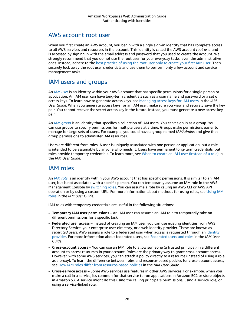## AWS account root user

When you first create an AWS account, you begin with a single sign-in identity that has complete access to all AWS services and resources in the account. This identity is called the AWS account *root user* and is accessed by signing in with the email address and password that you used to create the account. We strongly recommend that you do not use the root user for your everyday tasks, even the administrative ones. Instead, adhere to the best [practice](https://docs.aws.amazon.com/IAM/latest/UserGuide/best-practices.html#create-iam-users) of using the root user only to create your first IAM user. Then securely lock away the root user credentials and use them to perform only a few account and service management tasks.

## IAM users and groups

An *[IAM user](https://docs.aws.amazon.com/IAM/latest/UserGuide/id_users.html)* is an identity within your AWS account that has specific permissions for a single person or application. An IAM user can have long-term credentials such as a user name and password or a set of access keys. To learn how to generate access keys, see [Managing](https://docs.aws.amazon.com/IAM/latest/UserGuide/id_credentials_access-keys.html) access keys for IAM users in the *IAM User Guide*. When you generate access keys for an IAM user, make sure you view and securely save the key pair. You cannot recover the secret access key in the future. Instead, you must generate a new access key pair.

An *[IAM group](https://docs.aws.amazon.com/IAM/latest/UserGuide/id_groups.html)* is an identity that specifies a collection of IAM users. You can't sign in as a group. You can use groups to specify permissions for multiple users at a time. Groups make permissions easier to manage for large sets of users. For example, you could have a group named *IAMAdmins* and give that group permissions to administer IAM resources.

Users are different from roles. A user is uniquely associated with one person or application, but a role is intended to be assumable by anyone who needs it. Users have permanent long-term credentials, but roles provide temporary credentials. To learn more, see When to create an IAM user [\(instead](https://docs.aws.amazon.com/IAM/latest/UserGuide/id.html#id_which-to-choose) of a role) in the *IAM User Guide*.

## IAM roles

An *[IAM role](https://docs.aws.amazon.com/IAM/latest/UserGuide/id_roles.html)* is an identity within your AWS account that has specific permissions. It is similar to an IAM user, but is not associated with a specific person. You can temporarily assume an IAM role in the AWS Management Console by [switching](https://docs.aws.amazon.com/IAM/latest/UserGuide/id_roles_use_switch-role-console.html) roles. You can assume a role by calling an AWS CLI or AWS API operation or by using a custom URL. For more information about methods for using roles, see [Using IAM](https://docs.aws.amazon.com/IAM/latest/UserGuide/id_roles_use.html) [roles](https://docs.aws.amazon.com/IAM/latest/UserGuide/id_roles_use.html) in the *IAM User Guide*.

IAM roles with temporary credentials are useful in the following situations:

- **Temporary IAM user permissions** An IAM user can assume an IAM role to temporarily take on different permissions for a specific task.
- **Federated user access** Instead of creating an IAM user, you can use existing identities from AWS Directory Service, your enterprise user directory, or a web identity provider. These are known as *federated users*. AWS assigns a role to a federated user when access is requested through an [identity](https://docs.aws.amazon.com/IAM/latest/UserGuide/id_roles_providers.html) [provider.](https://docs.aws.amazon.com/IAM/latest/UserGuide/id_roles_providers.html) For more information about federated users, see [Federated](https://docs.aws.amazon.com/IAM/latest/UserGuide/introduction_access-management.html#intro-access-roles) users and roles in the *IAM User Guide*.
- **Cross-account access** You can use an IAM role to allow someone (a trusted principal) in a different account to access resources in your account. Roles are the primary way to grant cross-account access. However, with some AWS services, you can attach a policy directly to a resource (instead of using a role as a proxy). To learn the difference between roles and resource-based policies for cross-account access, see How IAM roles differ from [resource-based](https://docs.aws.amazon.com/IAM/latest/UserGuide/id_roles_compare-resource-policies.html) policies in the *IAM User Guide*.
- **Cross-service access** Some AWS services use features in other AWS services. For example, when you make a call in a service, it's common for that service to run applications in Amazon EC2 or store objects in Amazon S3. A service might do this using the calling principal's permissions, using a service role, or using a service-linked role.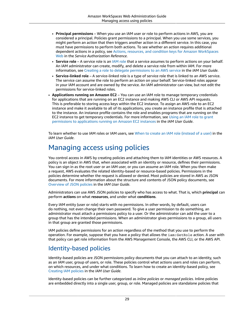- **Principal permissions** When you use an IAM user or role to perform actions in AWS, you are considered a principal. Policies grant permissions to a principal. When you use some services, you might perform an action that then triggers another action in a different service. In this case, you must have permissions to perform both actions. To see whether an action requires additional dependent actions in a policy, see Actions, resources, and condition keys for Amazon [WorkSpaces](https://docs.aws.amazon.com/service-authorization/latest/reference/list_amazonworkspacesweb.html) [Web](https://docs.aws.amazon.com/service-authorization/latest/reference/list_amazonworkspacesweb.html) in the *Service Authorization Reference*.
- **Service role** A service role is an IAM [role](https://docs.aws.amazon.com/IAM/latest/UserGuide/id_roles.html) that a service assumes to perform actions on your behalf. An IAM administrator can create, modify, and delete a service role from within IAM. For more information, see Creating a role to delegate [permissions](https://docs.aws.amazon.com/IAM/latest/UserGuide/id_roles_create_for-service.html) to an AWS service in the *IAM User Guide*.
- **Service-linked role** A service-linked role is a type of service role that is linked to an AWS service. The service can assume the role to perform an action on your behalf. Service-linked roles appear in your IAM account and are owned by the service. An IAM administrator can view, but not edit the permissions for service-linked roles.
- **Applications running on Amazon EC2** You can use an IAM role to manage temporary credentials for applications that are running on an EC2 instance and making AWS CLI or AWS API requests. This is preferable to storing access keys within the EC2 instance. To assign an AWS role to an EC2 instance and make it available to all of its applications, you create an instance profile that is attached to the instance. An instance profile contains the role and enables programs that are running on the EC2 instance to get temporary credentials. For more information, see [Using](https://docs.aws.amazon.com/IAM/latest/UserGuide/id_roles_use_switch-role-ec2.html) an IAM role to grant permissions to [applications](https://docs.aws.amazon.com/IAM/latest/UserGuide/id_roles_use_switch-role-ec2.html) running on Amazon EC2 instances in the *IAM User Guide*.

To learn whether to use IAM roles or IAM users, see When to create an IAM role [\(instead](https://docs.aws.amazon.com/IAM/latest/UserGuide/id.html#id_which-to-choose_role) of a user) in the *IAM User Guide*.

# <span id="page-32-0"></span>Managing access using policies

You control access in AWS by creating policies and attaching them to IAM identities or AWS resources. A policy is an object in AWS that, when associated with an identity or resource, defines their permissions. You can sign in as the root user or an IAM user, or you can assume an IAM role. When you then make a request, AWS evaluates the related identity-based or resource-based policies. Permissions in the policies determine whether the request is allowed or denied. Most policies are stored in AWS as JSON documents. For more information about the structure and contents of JSON policy documents, see [Overview](https://docs.aws.amazon.com/IAM/latest/UserGuide/access_policies.html#access_policies-json) of JSON policies in the *IAM User Guide*.

Administrators can use AWS JSON policies to specify who has access to what. That is, which **principal** can perform **actions** on what **resources**, and under what **conditions**.

Every IAM entity (user or role) starts with no permissions. In other words, by default, users can do nothing, not even change their own password. To give a user permission to do something, an administrator must attach a permissions policy to a user. Or the administrator can add the user to a group that has the intended permissions. When an administrator gives permissions to a group, all users in that group are granted those permissions.

IAM policies define permissions for an action regardless of the method that you use to perform the operation. For example, suppose that you have a policy that allows the iam:GetRole action. A user with that policy can get role information from the AWS Management Console, the AWS CLI, or the AWS API.

## Identity-based policies

Identity-based policies are JSON permissions policy documents that you can attach to an identity, such as an IAM user, group of users, or role. These policies control what actions users and roles can perform, on which resources, and under what conditions. To learn how to create an identity-based policy, see [Creating](https://docs.aws.amazon.com/IAM/latest/UserGuide/access_policies_create.html) IAM policies in the *IAM User Guide*.

Identity-based policies can be further categorized as *inline policies* or *managed policies*. Inline policies are embedded directly into a single user, group, or role. Managed policies are standalone policies that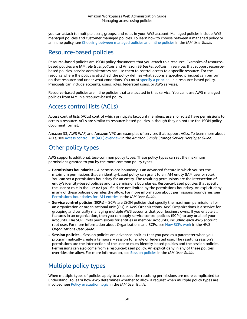you can attach to multiple users, groups, and roles in your AWS account. Managed policies include AWS managed policies and customer managed policies. To learn how to choose between a managed policy or an inline policy, see Choosing between [managed](https://docs.aws.amazon.com/IAM/latest/UserGuide/access_policies_managed-vs-inline.html#choosing-managed-or-inline) policies and inline policies in the *IAM User Guide*.

## Resource-based policies

Resource-based policies are JSON policy documents that you attach to a resource. Examples of resourcebased policies are IAM *role trust policies* and Amazon S3 *bucket policies*. In services that support resourcebased policies, service administrators can use them to control access to a specific resource. For the resource where the policy is attached, the policy defines what actions a specified principal can perform on that resource and under what conditions. You must specify a [principal](https://docs.aws.amazon.com/IAM/latest/UserGuide/reference_policies_elements_principal.html) in a resource-based policy. Principals can include accounts, users, roles, federated users, or AWS services.

Resource-based policies are inline policies that are located in that service. You can't use AWS managed policies from IAM in a resource-based policy.

## Access control lists (ACLs)

Access control lists (ACLs) control which principals (account members, users, or roles) have permissions to access a resource. ACLs are similar to resource-based policies, although they do not use the JSON policy document format.

Amazon S3, AWS WAF, and Amazon VPC are examples of services that support ACLs. To learn more about ACLs, see Access control list (ACL) [overview](https://docs.aws.amazon.com/AmazonS3/latest/dev/acl-overview.html) in the *Amazon Simple Storage Service Developer Guide*.

## Other policy types

AWS supports additional, less-common policy types. These policy types can set the maximum permissions granted to you by the more common policy types.

- **Permissions boundaries** A permissions boundary is an advanced feature in which you set the maximum permissions that an identity-based policy can grant to an IAM entity (IAM user or role). You can set a permissions boundary for an entity. The resulting permissions are the intersection of entity's identity-based policies and its permissions boundaries. Resource-based policies that specify the user or role in the Principal field are not limited by the permissions boundary. An explicit deny in any of these policies overrides the allow. For more information about permissions boundaries, see [Permissions](https://docs.aws.amazon.com/IAM/latest/UserGuide/access_policies_boundaries.html) boundaries for IAM entities in the *IAM User Guide*.
- **Service control policies (SCPs)** SCPs are JSON policies that specify the maximum permissions for an organization or organizational unit (OU) in AWS Organizations. AWS Organizations is a service for grouping and centrally managing multiple AWS accounts that your business owns. If you enable all features in an organization, then you can apply service control policies (SCPs) to any or all of your accounts. The SCP limits permissions for entities in member accounts, including each AWS account root user. For more information about Organizations and SCPs, see How SCPs [work](https://docs.aws.amazon.com/organizations/latest/userguide/orgs_manage_policies_about-scps.html) in the *AWS Organizations User Guide*.
- **Session policies** Session policies are advanced policies that you pass as a parameter when you programmatically create a temporary session for a role or federated user. The resulting session's permissions are the intersection of the user or role's identity-based policies and the session policies. Permissions can also come from a resource-based policy. An explicit deny in any of these policies overrides the allow. For more information, see [Session policies](https://docs.aws.amazon.com/IAM/latest/UserGuide/access_policies.html#policies_session) in the *IAM User Guide*.

## Multiple policy types

When multiple types of policies apply to a request, the resulting permissions are more complicated to understand. To learn how AWS determines whether to allow a request when multiple policy types are involved, see Policy [evaluation](https://docs.aws.amazon.com/IAM/latest/UserGuide/reference_policies_evaluation-logic.html) logic in the *IAM User Guide*.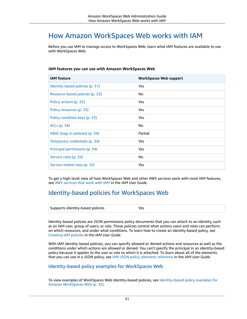# <span id="page-34-0"></span>How Amazon WorkSpaces Web works with IAM

Before you use IAM to manage access to WorkSpaces Web, learn what IAM features are available to use with WorkSpaces Web.

### **IAM features you can use with Amazon WorkSpaces Web**

| <b>IAM</b> feature              | <b>WorkSpaces Web support</b> |
|---------------------------------|-------------------------------|
| Identity-based policies (p. 31) | Yes                           |
| Resource-based policies (p. 32) | No                            |
| Policy actions (p. 32)          | Yes                           |
| Policy resources (p. 33)        | Yes                           |
| Policy condition keys (p. 33)   | Yes                           |
| <b>ACLs (p. 34)</b>             | No                            |
| ABAC (tags in policies) (p. 34) | Partial                       |
| Temporary credentials (p. 34)   | Yes                           |
| Principal permissions (p. 34)   | Yes                           |
| Service roles (p. 35)           | No                            |
| Service-linked roles (p. 35)    | Yes                           |

To get a high-level view of how WorkSpaces Web and other AWS services work with most IAM features, see AWS [services](https://docs.aws.amazon.com/IAM/latest/UserGuide/reference_aws-services-that-work-with-iam.html) that work with IAM in the *IAM User Guide*.

## <span id="page-34-1"></span>Identity-based policies for WorkSpaces Web

| Supports identity-based policies |  |
|----------------------------------|--|
|                                  |  |

Identity-based policies are JSON permissions policy documents that you can attach to an identity, such as an IAM user, group of users, or role. These policies control what actions users and roles can perform, on which resources, and under what conditions. To learn how to create an identity-based policy, see [Creating](https://docs.aws.amazon.com/IAM/latest/UserGuide/access_policies_create.html) IAM policies in the *IAM User Guide*.

With IAM identity-based policies, you can specify allowed or denied actions and resources as well as the conditions under which actions are allowed or denied. You can't specify the principal in an identity-based policy because it applies to the user or role to which it is attached. To learn about all of the elements that you can use in a JSON policy, see IAM JSON policy elements [reference](https://docs.aws.amazon.com/IAM/latest/UserGuide/reference_policies_elements.html) in the *IAM User Guide*.

### Identity-based policy examples for WorkSpaces Web

To view examples of WorkSpaces Web identity-based policies, see [Identity-based](#page-38-0) policy examples for Amazon [WorkSpaces](#page-38-0) Web [\(p. 35\).](#page-38-0)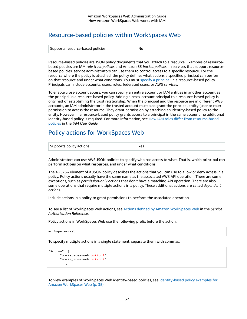## <span id="page-35-0"></span>Resource-based policies within WorkSpaces Web

| Supports resource-based policies | No |
|----------------------------------|----|
|----------------------------------|----|

Resource-based policies are JSON policy documents that you attach to a resource. Examples of resourcebased policies are IAM *role trust policies* and Amazon S3 *bucket policies*. In services that support resourcebased policies, service administrators can use them to control access to a specific resource. For the resource where the policy is attached, the policy defines what actions a specified principal can perform on that resource and under what conditions. You must specify a [principal](https://docs.aws.amazon.com/IAM/latest/UserGuide/reference_policies_elements_principal.html) in a resource-based policy. Principals can include accounts, users, roles, federated users, or AWS services.

To enable cross-account access, you can specify an entire account or IAM entities in another account as the principal in a resource-based policy. Adding a cross-account principal to a resource-based policy is only half of establishing the trust relationship. When the principal and the resource are in different AWS accounts, an IAM administrator in the trusted account must also grant the principal entity (user or role) permission to access the resource. They grant permission by attaching an identity-based policy to the entity. However, if a resource-based policy grants access to a principal in the same account, no additional identity-based policy is required. For more information, see How IAM roles differ from [resource-based](https://docs.aws.amazon.com/IAM/latest/UserGuide/id_roles_compare-resource-policies.html) [policies i](https://docs.aws.amazon.com/IAM/latest/UserGuide/id_roles_compare-resource-policies.html)n the *IAM User Guide*.

## <span id="page-35-1"></span>Policy actions for WorkSpaces Web

| Supports policy actions | Yes |
|-------------------------|-----|
|                         |     |

Administrators can use AWS JSON policies to specify who has access to what. That is, which **principal** can perform **actions** on what **resources**, and under what **conditions**.

The Action element of a JSON policy describes the actions that you can use to allow or deny access in a policy. Policy actions usually have the same name as the associated AWS API operation. There are some exceptions, such as *permission-only actions* that don't have a matching API operation. There are also some operations that require multiple actions in a policy. These additional actions are called *dependent actions*.

Include actions in a policy to grant permissions to perform the associated operation.

To see a list of WorkSpaces Web actions, see Actions defined by Amazon [WorkSpaces](https://docs.aws.amazon.com/service-authorization/latest/reference/list_amazonworkspacesweb.html#amazonworkspacesweb-actions-as-permissions) Web in the *Service Authorization Reference*.

Policy actions in WorkSpaces Web use the following prefix before the action:

```
workspaces-web
```
To specify multiple actions in a single statement, separate them with commas.

```
"Action": [
       "workspaces-web:action1",
       "workspaces-web:action2"
          ]
```
To view examples of WorkSpaces Web identity-based policies, see [Identity-based](#page-38-0) policy examples for Amazon [WorkSpaces](#page-38-0) Web [\(p. 35\).](#page-38-0)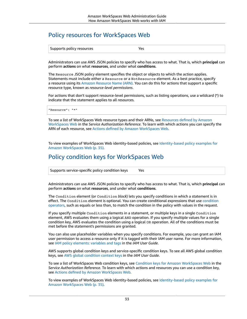## <span id="page-36-0"></span>Policy resources for WorkSpaces Web

| Supports policy resources | Yes |
|---------------------------|-----|
|---------------------------|-----|

Administrators can use AWS JSON policies to specify who has access to what. That is, which **principal** can perform **actions** on what **resources**, and under what **conditions**.

The Resource JSON policy element specifies the object or objects to which the action applies. Statements must include either a Resource or a NotResource element. As a best practice, specify a resource using its Amazon [Resource](https://docs.aws.amazon.com/general/latest/gr/aws-arns-and-namespaces.html) Name (ARN). You can do this for actions that support a specific resource type, known as *resource-level permissions*.

For actions that don't support resource-level permissions, such as listing operations, use a wildcard (\*) to indicate that the statement applies to all resources.

"Resource": "\*"

To see a list of WorkSpaces Web resource types and their ARNs, see [Resources](https://docs.aws.amazon.com/service-authorization/latest/reference/list_amazonworkspacesweb.html#amazonworkspacesweb-resources-for-iam-policies) defined by Amazon [WorkSpaces](https://docs.aws.amazon.com/service-authorization/latest/reference/list_amazonworkspacesweb.html#amazonworkspacesweb-resources-for-iam-policies) Web in the *Service Authorization Reference*. To learn with which actions you can specify the ARN of each resource, see Actions defined by Amazon [WorkSpaces](https://docs.aws.amazon.com/service-authorization/latest/reference/list_amazonworkspacesweb.html#amazonworkspacesweb-actions-as-permissions) Web.

To view examples of WorkSpaces Web identity-based policies, see [Identity-based](#page-38-0) policy examples for Amazon [WorkSpaces](#page-38-0) Web [\(p. 35\).](#page-38-0)

## <span id="page-36-1"></span>Policy condition keys for WorkSpaces Web

Supports service-specific policy condition keys | Yes

Administrators can use AWS JSON policies to specify who has access to what. That is, which **principal** can perform **actions** on what **resources**, and under what **conditions**.

The Condition element (or Condition *block*) lets you specify conditions in which a statement is in effect. The Condition element is optional. You can create conditional expressions that use [condition](https://docs.aws.amazon.com/IAM/latest/UserGuide/reference_policies_elements_condition_operators.html) [operators](https://docs.aws.amazon.com/IAM/latest/UserGuide/reference_policies_elements_condition_operators.html), such as equals or less than, to match the condition in the policy with values in the request.

If you specify multiple Condition elements in a statement, or multiple keys in a single Condition element, AWS evaluates them using a logical AND operation. If you specify multiple values for a single condition key, AWS evaluates the condition using a logical OR operation. All of the conditions must be met before the statement's permissions are granted.

You can also use placeholder variables when you specify conditions. For example, you can grant an IAM user permission to access a resource only if it is tagged with their IAM user name. For more information, see IAM policy [elements:](https://docs.aws.amazon.com/IAM/latest/UserGuide/reference_policies_variables.html) variables and tags in the *IAM User Guide*.

AWS supports global condition keys and service-specific condition keys. To see all AWS global condition keys, see AWS global [condition](https://docs.aws.amazon.com/IAM/latest/UserGuide/reference_policies_condition-keys.html) context keys in the *IAM User Guide*.

To see a list of WorkSpaces Web condition keys, see Condition keys for Amazon [WorkSpaces](https://docs.aws.amazon.com/service-authorization/latest/reference/list_amazonworkspacesweb.html#amazonworkspacesweb-policy-keys) Web in the *Service Authorization Reference*. To learn with which actions and resources you can use a condition key, see Actions defined by Amazon [WorkSpaces](https://docs.aws.amazon.com/service-authorization/latest/reference/list_amazonworkspacesweb.html#amazonworkspacesweb-actions-as-permissions) Web.

To view examples of WorkSpaces Web identity-based policies, see [Identity-based](#page-38-0) policy examples for Amazon [WorkSpaces](#page-38-0) Web [\(p. 35\).](#page-38-0)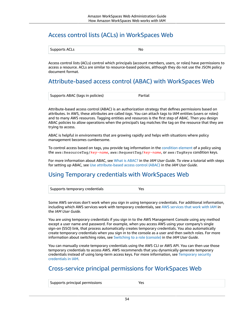## <span id="page-37-0"></span>Access control lists (ACLs) in WorkSpaces Web

| . .<br>$\Gamma$<br>orts ACLs<br><b>Supports</b> | Nc. |
|-------------------------------------------------|-----|
|-------------------------------------------------|-----|

Access control lists (ACLs) control which principals (account members, users, or roles) have permissions to access a resource. ACLs are similar to resource-based policies, although they do not use the JSON policy document format.

## <span id="page-37-1"></span>Attribute-based access control (ABAC) with WorkSpaces Web

| Supports ABAC (tags in policies) | Partiau |  |
|----------------------------------|---------|--|
|                                  |         |  |

Attribute-based access control (ABAC) is an authorization strategy that defines permissions based on attributes. In AWS, these attributes are called *tags*. You can attach tags to IAM entities (users or roles) and to many AWS resources. Tagging entities and resources is the first step of ABAC. Then you design ABAC policies to allow operations when the principal's tag matches the tag on the resource that they are trying to access.

ABAC is helpful in environments that are growing rapidly and helps with situations where policy management becomes cumbersome.

To control access based on tags, you provide tag information in the [condition](https://docs.aws.amazon.com/IAM/latest/UserGuide/reference_policies_elements_condition.html) element of a policy using the aws:ResourceTag/*key-name*, aws:RequestTag/*key-name*, or aws:TagKeys condition keys.

For more information about ABAC, see What is [ABAC?](https://docs.aws.amazon.com/IAM/latest/UserGuide/introduction_attribute-based-access-control.html) in the *IAM User Guide*. To view a tutorial with steps for setting up ABAC, see Use [attribute-based](https://docs.aws.amazon.com/IAM/latest/UserGuide/tutorial_attribute-based-access-control.html) access control (ABAC) in the *IAM User Guide*.

## <span id="page-37-2"></span>Using Temporary credentials with WorkSpaces Web

| $\rightarrow$ Supports temporary credentials |  |
|----------------------------------------------|--|
|----------------------------------------------|--|

Some AWS services don't work when you sign in using temporary credentials. For additional information, including which AWS services work with temporary credentials, see AWS [services](https://docs.aws.amazon.com/IAM/latest/UserGuide/reference_aws-services-that-work-with-iam.html) that work with IAM in the *IAM User Guide*.

You are using temporary credentials if you sign in to the AWS Management Console using any method except a user name and password. For example, when you access AWS using your company's single sign-on (SSO) link, that process automatically creates temporary credentials. You also automatically create temporary credentials when you sign in to the console as a user and then switch roles. For more information about switching roles, see [Switching](https://docs.aws.amazon.com/IAM/latest/UserGuide/id_roles_use_switch-role-console.html) to a role (console) in the *IAM User Guide*.

You can manually create temporary credentials using the AWS CLI or AWS API. You can then use those temporary credentials to access AWS. AWS recommends that you dynamically generate temporary credentials instead of using long-term access keys. For more information, see [Temporary](https://docs.aws.amazon.com/IAM/latest/UserGuide/id_credentials_temp.html) security [credentials](https://docs.aws.amazon.com/IAM/latest/UserGuide/id_credentials_temp.html) in IAM.

## <span id="page-37-3"></span>Cross-service principal permissions for WorkSpaces Web

| Supports principal permissions | Yes |
|--------------------------------|-----|
|--------------------------------|-----|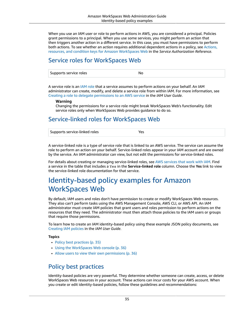When you use an IAM user or role to perform actions in AWS, you are considered a principal. Policies grant permissions to a principal. When you use some services, you might perform an action that then triggers another action in a different service. In this case, you must have permissions to perform both actions. To see whether an action requires additional dependent actions in a policy, see [Actions,](https://docs.aws.amazon.com/service-authorization/latest/reference/list_amazonworkspacesweb.html) resources, and condition keys for Amazon [WorkSpaces](https://docs.aws.amazon.com/service-authorization/latest/reference/list_amazonworkspacesweb.html) Web in the *Service Authorization Reference*.

## <span id="page-38-1"></span>Service roles for WorkSpaces Web

| $\sim$ common wet<br>s service roles<br><b>Jupports</b> |  |
|---------------------------------------------------------|--|
|---------------------------------------------------------|--|

A service role is an [IAM](https://docs.aws.amazon.com/IAM/latest/UserGuide/id_roles.html) role that a service assumes to perform actions on your behalf. An IAM administrator can create, modify, and delete a service role from within IAM. For more information, see Creating a role to delegate [permissions](https://docs.aws.amazon.com/IAM/latest/UserGuide/id_roles_create_for-service.html) to an AWS service in the *IAM User Guide*.

### **Warning**

Changing the permissions for a service role might break WorkSpaces Web's functionality. Edit service roles only when WorkSpaces Web provides guidance to do so.

## <span id="page-38-2"></span>Service-linked roles for WorkSpaces Web

| Supports service-linked roles |  |
|-------------------------------|--|

A service-linked role is a type of service role that is linked to an AWS service. The service can assume the role to perform an action on your behalf. Service-linked roles appear in your IAM account and are owned by the service. An IAM administrator can view, but not edit the permissions for service-linked roles.

For details about creating or managing service-linked roles, see AWS [services](https://docs.aws.amazon.com/IAM/latest/UserGuide/reference_aws-services-that-work-with-iam.html) that work with IAM. Find a service in the table that includes a Yes in the **Service-linked role** column. Choose the **Yes** link to view the service-linked role documentation for that service.

# <span id="page-38-0"></span>Identity-based policy examples for Amazon WorkSpaces Web

By default, IAM users and roles don't have permission to create or modify WorkSpaces Web resources. They also can't perform tasks using the AWS Management Console, AWS CLI, or AWS API. An IAM administrator must create IAM policies that grant users and roles permission to perform actions on the resources that they need. The administrator must then attach those policies to the IAM users or groups that require those permissions.

To learn how to create an IAM identity-based policy using these example JSON policy documents, see [Creating](https://docs.aws.amazon.com/IAM/latest/UserGuide/access_policies_create-console.html) IAM policies in the *IAM User Guide*.

### **Topics**

- Policy best [practices \(p. 35\)](#page-38-3)
- Using the WorkSpaces Web [console \(p. 36\)](#page-39-0)
- Allow users to view their own [permissions \(p. 36\)](#page-39-1)

## <span id="page-38-3"></span>Policy best practices

Identity-based policies are very powerful. They determine whether someone can create, access, or delete WorkSpaces Web resources in your account. These actions can incur costs for your AWS account. When you create or edit identity-based policies, follow these guidelines and recommendations: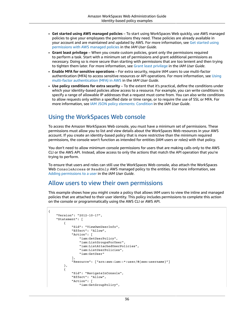- **Get started using AWS managed policies** To start using WorkSpaces Web quickly, use AWS managed policies to give your employees the permissions they need. These policies are already available in your account and are maintained and updated by AWS. For more information, see Get [started](https://docs.aws.amazon.com/IAM/latest/UserGuide/best-practices.html#bp-use-aws-defined-policies) using [permissions](https://docs.aws.amazon.com/IAM/latest/UserGuide/best-practices.html#bp-use-aws-defined-policies) with AWS managed policies in the *IAM User Guide*.
- **Grant least privilege** When you create custom policies, grant only the permissions required to perform a task. Start with a minimum set of permissions and grant additional permissions as necessary. Doing so is more secure than starting with permissions that are too lenient and then trying to tighten them later. For more information, see [Grant least privilege](https://docs.aws.amazon.com/IAM/latest/UserGuide/best-practices.html#grant-least-privilege) in the *IAM User Guide*.
- **Enable MFA for sensitive operations** For extra security, require IAM users to use multi-factor authentication (MFA) to access sensitive resources or API operations. For more information, see [Using](https://docs.aws.amazon.com/IAM/latest/UserGuide/id_credentials_mfa.html) multi-factor [authentication](https://docs.aws.amazon.com/IAM/latest/UserGuide/id_credentials_mfa.html) (MFA) in AWS in the *IAM User Guide*.
- **Use policy conditions for extra security** To the extent that it's practical, define the conditions under which your identity-based policies allow access to a resource. For example, you can write conditions to specify a range of allowable IP addresses that a request must come from. You can also write conditions to allow requests only within a specified date or time range, or to require the use of SSL or MFA. For more information, see IAM JSON policy elements: [Condition](https://docs.aws.amazon.com/IAM/latest/UserGuide/reference_policies_elements_condition.html) in the *IAM User Guide*.

## <span id="page-39-0"></span>Using the WorkSpaces Web console

To access the Amazon WorkSpaces Web console, you must have a minimum set of permissions. These permissions must allow you to list and view details about the WorkSpaces Web resources in your AWS account. If you create an identity-based policy that is more restrictive than the minimum required permissions, the console won't function as intended for entities (IAM users or roles) with that policy.

You don't need to allow minimum console permissions for users that are making calls only to the AWS CLI or the AWS API. Instead, allow access to only the actions that match the API operation that you're trying to perform.

To ensure that users and roles can still use the WorkSpaces Web console, also attach the WorkSpaces Web ConsoleAccess or ReadOnly AWS managed policy to the entities. For more information, see Adding [permissions](https://docs.aws.amazon.com/IAM/latest/UserGuide/id_users_change-permissions.html#users_change_permissions-add-console) to a user in the *IAM User Guide*.

## <span id="page-39-1"></span>Allow users to view their own permissions

This example shows how you might create a policy that allows IAM users to view the inline and managed policies that are attached to their user identity. This policy includes permissions to complete this action on the console or programmatically using the AWS CLI or AWS API.

```
{
     "Version": "2012-10-17",
     "Statement": [
          {
              "Sid": "ViewOwnUserInfo",
              "Effect": "Allow",
              "Action": [
                   "iam:GetUserPolicy",
                   "iam:ListGroupsForUser",
                   "iam:ListAttachedUserPolicies",
                  "iam:ListUserPolicies",
                  "iam:GetUser"
              ],
              "Resource": ["arn:aws:iam::*:user/${aws:username}"]
          },
\overline{\mathcal{A}} "Sid": "NavigateInConsole",
              "Effect": "Allow",
              "Action": [
                  "iam:GetGroupPolicy",
```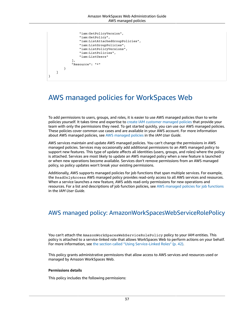```
 "iam:GetPolicyVersion",
                  "iam:GetPolicy",
                  "iam:ListAttachedGroupPolicies",
                  "iam:ListGroupPolicies",
                   "iam:ListPolicyVersions",
                  "iam:ListPolicies",
                  "iam:ListUsers"
              ],
              "Resource": "*"
         }
     ]
}
```
# <span id="page-40-0"></span>AWS managed policies for WorkSpaces Web

To add permissions to users, groups, and roles, it is easier to use AWS managed policies than to write policies yourself. It takes time and expertise to create IAM customer [managed](https://docs.aws.amazon.com/IAM/latest/UserGuide/access_policies_create-console.html) policies that provide your team with only the permissions they need. To get started quickly, you can use our AWS managed policies. These policies cover common use cases and are available in your AWS account. For more information about AWS managed policies, see AWS [managed](https://docs.aws.amazon.com/IAM/latest/UserGuide/access_policies_managed-vs-inline.html#aws-managed-policies) policies in the *IAM User Guide*.

AWS services maintain and update AWS managed policies. You can't change the permissions in AWS managed policies. Services may occasionally add additional permissions to an AWS managed policy to support new features. This type of update affects all identities (users, groups, and roles) where the policy is attached. Services are most likely to update an AWS managed policy when a new feature is launched or when new operations become available. Services don't remove permissions from an AWS managed policy, so policy updates won't break your existing permissions.

Additionally, AWS supports managed policies for job functions that span multiple services. For example, the ReadOnlyAccess AWS managed policy provides read-only access to all AWS services and resources. When a service launches a new feature, AWS adds read-only permissions for new operations and resources. For a list and descriptions of job function policies, see AWS managed policies for job [functions](https://docs.aws.amazon.com/IAM/latest/UserGuide/access_policies_job-functions.html) in the *IAM User Guide*.

## <span id="page-40-1"></span>AWS managed policy: AmazonWorkSpacesWebServiceRolePolicy

You can't attach the AmazonWorkSpacesWebServiceRolePolicy policy to your IAM entities. This policy is attached to a service-linked role that allows WorkSpaces Web to perform actions on your behalf. For more information, see the section called "Using [Service-Linked](#page-45-0) Roles[" \(p. 42\)](#page-45-0).

This policy grants administrative permissions that allow access to AWS services and resources used or managed by Amazon WorkSpaces Web.

### **Permissions details**

This policy includes the following permissions: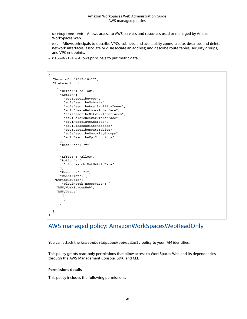- WorkSpaces Web Allows access to AWS services and resources used or managed by Amazon WorkSpaces Web.
- ec2 Allows principals to describe VPCs, subnets, and availability zones; create, describe, and delete network interfaces; associate or disassociate an address; and describe route tables, security groups, and VPC endpoints.
- CloudWatch Allows principals to put metric data.

```
{
   "Version": "2012-10-17",
   "Statement": [
     {
       "Effect": "Allow",
       "Action": [
         "ec2:DescribeVpcs",
         "ec2:DescribeSubnets",
         "ec2:DescribeAvailabilityZones",
         "ec2:CreateNetworkInterface",
         "ec2:DescribeNetworkInterfaces",
         "ec2:DeleteNetworkInterface",
         "ec2:AssociateAddress",
         "ec2:DisassociateAddress",
         "ec2:DescribeRouteTables",
         "ec2:DescribeSecurityGroups",
         "ec2:DescribeVpcEndpoints"
       ],
       "Resource": "*"
     },
     {
       "Effect": "Allow",
       "Action": [
         "cloudwatch:PutMetricData"
       ],
       "Resource": "*",
       "Condition": {
    "StringEquals": {
        "cloudwatch:namespace": [
     "AWS/WorkSpacesWeb",
     "AWS/Usage"
        ]
         }
       }
     }
   ]
}
```
## <span id="page-41-0"></span>AWS managed policy: AmazonWorkSpacesWebReadOnly

You can attach the AmazonWorkSpacesWebReadOnly policy to your IAM identities.

This policy grants read-only permissions that allow access to WorkSpaces Web and its dependencies through the AWS Management Console, SDK, and CLI.

### **Permissions details**

This policy includes the following permissions.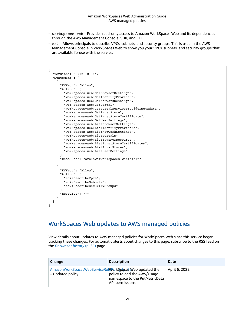- WorkSpaces Web Provides read-only access to Amazon WorkSpaces Web and its dependencies through the AWS Management Console, SDK, and CLI.
- ec2 Allows principals to describe VPCs, subnets, and security groups. This is used in the AWS Management Console in WorkSpaces Web to show you your VPCs, subnets, and security groups that are available foruse with the service.

```
{
   "Version": "2012-10-17",
   "Statement": [
     {
       "Effect": "Allow",
       "Action": [
         "workspaces-web:GetBrowserSettings",
         "workspaces-web:GetIdentityProvider",
         "workspaces-web:GetNetworkSettings",
         "workspaces-web:GetPortal",
         "workspaces-web:GetPortalServiceProviderMetadata",
         "workspaces-web:GetTrustStore",
         "workspaces-web:GetTrustStoreCertificate",
         "workspaces-web:GetUserSettings",
         "workspaces-web:ListBrowserSettings",
         "workspaces-web:ListIdentityProviders",
         "workspaces-web:ListNetworkSettings",
         "workspaces-web:ListPortals",
         "workspaces-web:ListTagsForResource",
         "workspaces-web:ListTrustStoreCertificates",
         "workspaces-web:ListTrustStores",
         "workspaces-web:ListUserSettings"
       ],
       "Resource": "arn:aws:workspaces-web:*:*:*"
     },
     {
       "Effect": "Allow",
       "Action": [
         "ec2:DescribeVpcs",
         "ec2:DescribeSubnets",
         "ec2:DescribeSecurityGroups"
       ],
       "Resource": "*"
     }
   ]
}
```
## WorkSpaces Web updates to AWS managed policies

View details about updates to AWS managed policies for WorkSpaces Web since this service began tracking these changes. For automatic alerts about changes to this page, subscribe to the RSS feed on the *[Document](#page-54-0) history* [\(p. 51\)](#page-54-0) page.

| Change                                                                      | <b>Description</b>                                                                | <b>Date</b>   |
|-----------------------------------------------------------------------------|-----------------------------------------------------------------------------------|---------------|
| AmazonWorkSpacesWebServiceRolWorkSpace3 Web updated the<br>– Updated policy | policy to add the AWS/Usage<br>namespace to the PutMetricData<br>API permissions. | April 6, 2022 |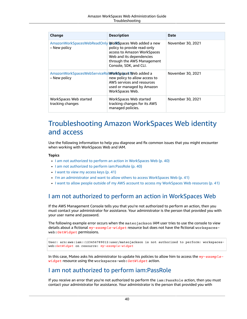| <b>Change</b>                                                          | <b>Description</b>                                                                                                                             | Date              |
|------------------------------------------------------------------------|------------------------------------------------------------------------------------------------------------------------------------------------|-------------------|
| AmazonWorkSpacesWebReadOnly WorkSpaces Web added a new<br>– New policy | policy to provide read-only<br>access to Amazon WorkSpaces<br>Web and its dependencies<br>through the AWS Management<br>Console, SDK, and CLI. | November 30, 2021 |
| AmazonWorkSpacesWebServiceRolWorkSpacesWeb added a<br>– New policy     | new policy to allow access to<br>AWS services and resources<br>used or managed by Amazon<br>WorkSpaces Web.                                    | November 30, 2021 |
| WorkSpaces Web started<br>tracking changes                             | WorkSpaces Web started<br>tracking changes for its AWS<br>managed policies.                                                                    | November 30, 2021 |

# <span id="page-43-0"></span>Troubleshooting Amazon WorkSpaces Web identity and access

Use the following information to help you diagnose and fix common issues that you might encounter when working with WorkSpaces Web and IAM.

### **Topics**

- I am not authorized to perform an action in [WorkSpaces](#page-43-1) Web (p. 40)
- I am not authorized to perform [iam:PassRole \(p. 40\)](#page-43-2)
- I want to view my access [keys \(p. 41\)](#page-44-0)
- I'm an [administrator](#page-44-1) and want to allow others to access WorkSpaces Web (p. 41)
- I want to allow people outside of my AWS account to access my WorkSpaces Web [resources \(p. 41\)](#page-44-2)

## <span id="page-43-1"></span>I am not authorized to perform an action in WorkSpaces Web

If the AWS Management Console tells you that you're not authorized to perform an action, then you must contact your administrator for assistance. Your administrator is the person that provided you with your user name and password.

The following example error occurs when the mateojackson IAM user tries to use the console to view details about a fictional *my-example-widget* resource but does not have the fictional workspacesweb:*GetWidget* permissions.

```
User: arn:aws:iam::123456789012:user/mateojackson is not authorized to perform: workspaces-
web:GetWidget on resource: my-example-widget
```
In this case, Mateo asks his administrator to update his policies to allow him to access the *my-examplewidget* resource using the workspaces-web:*GetWidget* action.

## <span id="page-43-2"></span>I am not authorized to perform iam:PassRole

If you receive an error that you're not authorized to perform the iam: PassRole action, then you must contact your administrator for assistance. Your administrator is the person that provided you with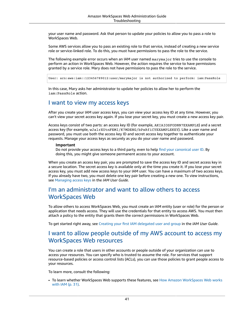your user name and password. Ask that person to update your policies to allow you to pass a role to WorkSpaces Web.

Some AWS services allow you to pass an existing role to that service, instead of creating a new service role or service-linked role. To do this, you must have permissions to pass the role to the service.

The following example error occurs when an IAM user named marymajor tries to use the console to perform an action in WorkSpaces Web. However, the action requires the service to have permissions granted by a service role. Mary does not have permissions to pass the role to the service.

User: arn:aws:iam::123456789012:user/marymajor is not authorized to perform: iam:PassRole

In this case, Mary asks her administrator to update her policies to allow her to perform the iam:PassRole action.

### <span id="page-44-0"></span>I want to view my access keys

After you create your IAM user access keys, you can view your access key ID at any time. However, you can't view your secret access key again. If you lose your secret key, you must create a new access key pair.

Access keys consist of two parts: an access key ID (for example, AKIAIOSFODNN7EXAMPLE) and a secret access key (for example, wJalrXUtnFEMI/K7MDENG/bPxRfiCYEXAMPLEKEY). Like a user name and password, you must use both the access key ID and secret access key together to authenticate your requests. Manage your access keys as securely as you do your user name and password.

#### **Important**

Do not provide your access keys to a third party, even to help find your [canonical](https://docs.aws.amazon.com/general/latest/gr/acct-identifiers.html#FindingCanonicalId) user ID. By doing this, you might give someone permanent access to your account.

When you create an access key pair, you are prompted to save the access key ID and secret access key in a secure location. The secret access key is available only at the time you create it. If you lose your secret access key, you must add new access keys to your IAM user. You can have a maximum of two access keys. If you already have two, you must delete one key pair before creating a new one. To view instructions, see [Managing](https://docs.aws.amazon.com/IAM/latest/UserGuide/id_credentials_access-keys.html#Using_CreateAccessKey) access keys in the *IAM User Guide*.

### <span id="page-44-1"></span>I'm an administrator and want to allow others to access WorkSpaces Web

To allow others to access WorkSpaces Web, you must create an IAM entity (user or role) for the person or application that needs access. They will use the credentials for that entity to access AWS. You must then attach a policy to the entity that grants them the correct permissions in WorkSpaces Web.

To get started right away, see Creating your first IAM [delegated](https://docs.aws.amazon.com/IAM/latest/UserGuide/getting-started_create-delegated-user.html) user and group in the *IAM User Guide*.

## <span id="page-44-2"></span>I want to allow people outside of my AWS account to access my WorkSpaces Web resources

You can create a role that users in other accounts or people outside of your organization can use to access your resources. You can specify who is trusted to assume the role. For services that support resource-based policies or access control lists (ACLs), you can use those policies to grant people access to your resources.

To learn more, consult the following:

• To learn whether WorkSpaces Web supports these features, see How Amazon [WorkSpaces](#page-34-0) Web works [with IAM \(p. 31\)](#page-34-0).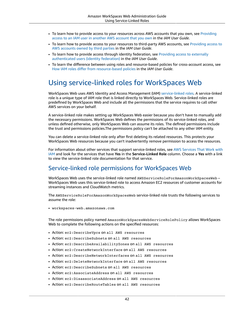- To learn how to provide access to your resources across AWS accounts that you own, see [Providing](https://docs.aws.amazon.com/IAM/latest/UserGuide/id_roles_common-scenarios_aws-accounts.html) access to an IAM user in [another](https://docs.aws.amazon.com/IAM/latest/UserGuide/id_roles_common-scenarios_aws-accounts.html) AWS account that you own in the *IAM User Guide*.
- To learn how to provide access to your resources to third-party AWS accounts, see [Providing](https://docs.aws.amazon.com/IAM/latest/UserGuide/id_roles_common-scenarios_third-party.html) access to AWS [accounts](https://docs.aws.amazon.com/IAM/latest/UserGuide/id_roles_common-scenarios_third-party.html) owned by third parties in the *IAM User Guide*.
- To learn how to provide access through identity federation, see Providing access to [externally](https://docs.aws.amazon.com/IAM/latest/UserGuide/id_roles_common-scenarios_federated-users.html) [authenticated](https://docs.aws.amazon.com/IAM/latest/UserGuide/id_roles_common-scenarios_federated-users.html) users (identity federation) in the *IAM User Guide*.
- To learn the difference between using roles and resource-based policies for cross-account access, see How IAM roles differ from [resource-based](https://docs.aws.amazon.com/IAM/latest/UserGuide/id_roles_compare-resource-policies.html) policies in the *IAM User Guide*.

## <span id="page-45-0"></span>Using service-linked roles for WorkSpaces Web

WorkSpaces Web uses AWS Identity and Access Management (IAM) [service-linked](https://docs.aws.amazon.com/IAM/latest/UserGuide/id_roles_terms-and-concepts.html#iam-term-service-linked-role) roles. A service-linked role is a unique type of IAM role that is linked directly to WorkSpaces Web. Service-linked roles are predefined by WorkSpaces Web and include all the permissions that the service requires to call other AWS services on your behalf.

A service-linked role makes setting up WorkSpaces Web easier because you don't have to manually add the necessary permissions. WorkSpaces Web defines the permissions of its service-linked roles, and unless defined otherwise, only WorkSpaces Web can assume its roles. The defined permissions include the trust and permissions policies.The permissions policy can't be attached to any other IAM entity.

You can delete a service-linked role only after first deleting its related resources. This protects your WorkSpaces Web resources because you can't inadvertently remove permission to access the resources.

For information about other services that support service-linked roles, see AWS [Services](https://docs.aws.amazon.com/IAM/latest/UserGuide/reference_aws-services-that-work-with-iam.html) That Work with [IAM](https://docs.aws.amazon.com/IAM/latest/UserGuide/reference_aws-services-that-work-with-iam.html) and look for the services that have **Yes** in the **Service-Linked Role** column. Choose a **Yes** with a link to view the service-linked role documentation for that service.

## Service-linked role permissions for WorkSpaces Web

WorkSpaces Web uses the service-linked role named AWSServiceRoleForAmazonWorkSpacesWeb – WorkSpaces Web uses this service-linked role to access Amazon EC2 resources of customer accounts for streaming instances and CloudWatch metrics.

The AWSServiceRoleForAmazonWorkSpacesWeb service-linked role trusts the following services to assume the role:

• workspaces-web.amazonaws.com

The role permissions policy named AmazonWorkSpacesWebServiceRolePolicy allows WorkSpaces Web to complete the following actions on the specified resources:

- Action: ec2:DescribeVpcs on all AWS resources
- Action: ec2:DescribeSubnets on all AWS resources
- Action: ec2:DescribeAvailabilityZones on all AWS resources
- Action: ec2:CreateNetworkInterface on all AWS resources
- Action: ec2:DescribeNetworkInterfaces on all AWS resources
- Action: ec2:DeleteNetworkInterface on all AWS resources
- Action: ec2:DescribeSubnets on all AWS resources
- Action: ec2:AssociateAddress on all AWS resources
- Action: ec2:DisassociateAddress on all AWS resources
- Action: ec2:DescribeRouteTables on all AWS resources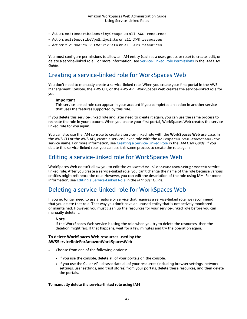- Action: ec2:DescribeSecurityGroups on all AWS resources
- Action: ec2:DescribeVpcEndpoints on all AWS resources
- Action: cloudwatch:PutMetricData on all AWS resources

You must configure permissions to allow an IAM entity (such as a user, group, or role) to create, edit, or delete a service-linked role. For more information, see [Service-Linked](https://docs.aws.amazon.com/IAM/latest/UserGuide/using-service-linked-roles.html#service-linked-role-permissions) Role Permissions in the *IAM User Guide*.

### Creating a service-linked role for WorkSpaces Web

You don't need to manually create a service-linked role. When you create your first portal in the AWS Management Console, the AWS CLI, or the AWS API, WorkSpaces Web creates the service-linked role for you.

### **Important**

This service-linked role can appear in your account if you completed an action in another service that uses the features supported by this role.

If you delete this service-linked role and later need to create it again, you can use the same process to recreate the role in your account. When you create your first portal, WorkSpaces Web creates the servicelinked role for you again.

You can also use the IAM console to create a service-linked role with the **WorkSpaces Web** use case. In the AWS CLI or the AWS API, create a service-linked role with the workspaces-web.amazonaws.com service name. For more information, see Creating a [Service-Linked](https://docs.aws.amazon.com/IAM/latest/UserGuide/using-service-linked-roles.html#create-service-linked-role) Role in the *IAM User Guide*. If you delete this service-linked role, you can use this same process to create the role again.

### Editing a service-linked role for WorkSpaces Web

WorkSpaces Web doesn't allow you to edit the AWSServiceRoleForAmazonWorkSpacesWeb servicelinked role. After you create a service-linked role, you can't change the name of the role because various entities might reference the role. However, you can edit the description of the role using IAM. For more information, see Editing a [Service-Linked](https://docs.aws.amazon.com/IAM/latest/UserGuide/using-service-linked-roles.html#edit-service-linked-role) Role in the *IAM User Guide*.

## Deleting a service-linked role for WorkSpaces Web

If you no longer need to use a feature or service that requires a service-linked role, we recommend that you delete that role. That way you don't have an unused entity that is not actively monitored or maintained. However, you must clean up the resources for your service-linked role before you can manually delete it.

### **Note**

If the WorkSpaces Web service is using the role when you try to delete the resources, then the deletion might fail. If that happens, wait for a few minutes and try the operation again.

### **To delete WorkSpaces Web resources used by the AWSServiceRoleForAmazonWorkSpacesWeb**

- Choose from one of the following options:
	- If you use the console, delete all of your portals on the console.
	- If you use the CLI or API, disassociate all of your resources (including browser settings, network settings, user settings, and trust stores) from your portals, delete these resources, and then delete the portals.

### **To manually delete the service-linked role using IAM**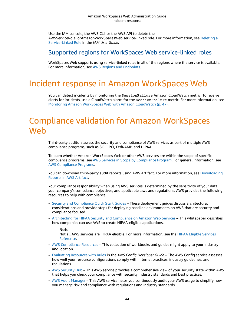Use the IAM console, the AWS CLI, or the AWS API to delete the AWSServiceRoleForAmazonWorkSpacesWeb service-linked role. For more information, see [Deleting a](https://docs.aws.amazon.com/IAM/latest/UserGuide/using-service-linked-roles.html#delete-service-linked-role) [Service-Linked](https://docs.aws.amazon.com/IAM/latest/UserGuide/using-service-linked-roles.html#delete-service-linked-role) Role in the *IAM User Guide*.

## Supported regions for WorkSpaces Web service-linked roles

WorkSpaces Web supports using service-linked roles in all of the regions where the service is available. For more information, see AWS Regions and [Endpoints.](https://docs.aws.amazon.com/general/latest/gr/rande.html)

# <span id="page-47-0"></span>Incident response in Amazon WorkSpaces Web

You can detect incidents by monitoring the SessionFailure Amazon CloudWatch metric. To receive alerts for incidents, use a CloudWatch alarm for the SessionFailure metric. For more information, see Monitoring Amazon WorkSpaces Web with Amazon [CloudWatch \(p. 47\).](#page-50-1)

# <span id="page-47-1"></span>Compliance validation for Amazon WorkSpaces Web

Third-party auditors assess the security and compliance of AWS services as part of multiple AWS compliance programs, such as SOC, PCI, FedRAMP, and HIPAA.

To learn whether Amazon WorkSpaces Web or other AWS services are within the scope of specific compliance programs, see AWS Services in Scope by [Compliance](http://aws.amazon.com/compliance/services-in-scope/) Program. For general information, see AWS [Compliance](http://aws.amazon.com/compliance/programs/) Programs.

You can download third-party audit reports using AWS Artifact. For more information, see [Downloading](https://docs.aws.amazon.com/artifact/latest/ug/downloading-documents.html) [Reports](https://docs.aws.amazon.com/artifact/latest/ug/downloading-documents.html) in AWS Artifact.

Your compliance responsibility when using AWS services is determined by the sensitivity of your data, your company's compliance objectives, and applicable laws and regulations. AWS provides the following resources to help with compliance:

- Security and [Compliance](http://aws.amazon.com/quickstart/?awsf.quickstart-homepage-filter=categories%23security-identity-compliance) Quick Start Guides These deployment guides discuss architectural considerations and provide steps for deploying baseline environments on AWS that are security and compliance focused.
- [Architecting](https://docs.aws.amazon.com/whitepapers/latest/architecting-hipaa-security-and-compliance-on-aws/welcome.html) for HIPAA Security and Compliance on Amazon Web Services This whitepaper describes how companies can use AWS to create HIPAA-eligible applications.

### **Note**

Not all AWS services are HIPAA eligible. For more information, see the HIPAA Eligible [Services](https://aws.amazon.com/compliance/hipaa-eligible-services-reference/) [Reference](https://aws.amazon.com/compliance/hipaa-eligible-services-reference/).

- AWS [Compliance](http://aws.amazon.com/compliance/resources/) Resources This collection of workbooks and guides might apply to your industry and location.
- [Evaluating](https://docs.aws.amazon.com/config/latest/developerguide/evaluate-config.html) Resources with Rules in the *AWS Config Developer Guide* The AWS Config service assesses how well your resource configurations comply with internal practices, industry guidelines, and regulations.
- AWS [Security](https://docs.aws.amazon.com/securityhub/latest/userguide/what-is-securityhub.html) Hub This AWS service provides a comprehensive view of your security state within AWS that helps you check your compliance with security industry standards and best practices.
- AWS Audit [Manager](https://docs.aws.amazon.com/audit-manager/latest/userguide/what-is.html) This AWS service helps you continuously audit your AWS usage to simplify how you manage risk and compliance with regulations and industry standards.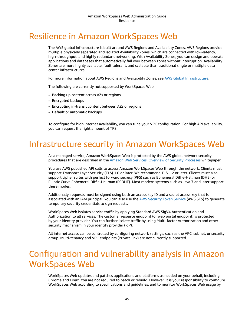# <span id="page-48-0"></span>Resilience in Amazon WorkSpaces Web

The AWS global infrastructure is built around AWS Regions and Availability Zones. AWS Regions provide multiple physically separated and isolated Availability Zones, which are connected with low-latency, high-throughput, and highly redundant networking. With Availability Zones, you can design and operate applications and databases that automatically fail over between zones without interruption. Availability Zones are more highly available, fault tolerant, and scalable than traditional single or multiple data center infrastructures.

For more information about AWS Regions and Availability Zones, see AWS Global [Infrastructure.](http://aws.amazon.com/about-aws/global-infrastructure/)

The following are currently not supported by WorkSpaces Web:

- Backing up content across AZs or regions
- Encrypted backups
- Encrypting in-transit content between AZs or regions
- Default or automatic backups

To configure for high internet availability, you can tune your VPC configuration. For high API availability, you can request the right amount of TPS.

# <span id="page-48-1"></span>Infrastructure security in Amazon WorkSpaces Web

As a managed service, Amazon WorkSpaces Web is protected by the AWS global network security procedures that are described in the Amazon Web Services: Overview of Security [Processes](https://d0.awsstatic.com/whitepapers/Security/AWS_Security_Whitepaper.pdf) whitepaper.

You use AWS published API calls to access Amazon WorkSpaces Web through the network. Clients must support Transport Layer Security (TLS) 1.0 or later. We recommend TLS 1.2 or later. Clients must also support cipher suites with perfect forward secrecy (PFS) such as Ephemeral Diffie-Hellman (DHE) or Elliptic Curve Ephemeral Diffie-Hellman (ECDHE). Most modern systems such as Java 7 and later support these modes.

Additionally, requests must be signed using both an access key ID and a secret access key that is associated with an IAM principal. You can also use the AWS [Security](https://docs.aws.amazon.com/STS/latest/APIReference/Welcome.html) Token Service (AWS STS) to generate temporary security credentials to sign requests.

WorkSpaces Web isolates service traffic by applying Standard AWS SigV4 Authentication and Authorization to all services. The customer resource endpoint (or web portal endpoint) is protected by your identity provider. You can further isolate traffic by using Multi-factor Authorization and other security mechanism in your identity provider (IdP).

All internet access can be controlled by configuring network settings, such as the VPC, subnet, or security group. Multi-tenancy and VPC endpoints (PrivateLink) are not currently supported.

# <span id="page-48-2"></span>Configuration and vulnerability analysis in Amazon WorkSpaces Web

WorkSpaces Web updates and patches applications and platforms as needed on your behalf, including Chrome and Linux. You are not required to patch or rebuild. However, it is your responsibility to configure WorkSpaces Web according to specifications and guidelines, and to monitor WorkSpaces Web usage by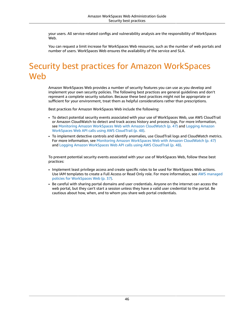your users. All service-related configs and vulnerability analysis are the responsibility of WorkSpaces Web.

You can request a limit increase for WorkSpaces Web resources, such as the number of web portals and number of users. WorkSpaces Web ensures the availability of the service and SLA.

# <span id="page-49-0"></span>Security best practices for Amazon WorkSpaces **Web**

Amazon WorkSpaces Web provides a number of security features you can use as you develop and implement your own security policies. The following best practices are general guidelines and don't represent a complete security solution. Because these best practices might not be appropriate or sufficient for your environment, treat them as helpful considerations rather than prescriptions.

Best practices for Amazon WorkSpaces Web include the following:

- To detect potential security events associated with your use of WorkSpaces Web, use AWS CloudTrail or Amazon CloudWatch to detect and track access history and process logs. For more information, see Monitoring Amazon WorkSpaces Web with Amazon [CloudWatch \(p. 47\)](#page-50-1) and [Logging](#page-51-0) Amazon [WorkSpaces](#page-51-0) Web API calls using AWS CloudTrail [\(p. 48\).](#page-51-0)
- To implement detective controls and identify anomalies, use CloudTrail logs and CloudWatch metrics. For more information, see Monitoring Amazon [WorkSpaces](#page-50-1) Web with Amazon CloudWatc[h \(p. 47\)](#page-50-1) and Logging Amazon [WorkSpaces](#page-51-0) Web API calls using AWS CloudTrail [\(p. 48\).](#page-51-0)

To prevent potential security events associated with your use of WorkSpaces Web, follow these best practices:

- Implement least privilege access and create specific roles to be used for WorkSpaces Web actions. Use IAM templates to create a Full Access or Read Only role. For more information, see AWS [managed](#page-40-0) policies for [WorkSpaces](#page-40-0) Web [\(p. 37\).](#page-40-0)
- Be careful with sharing portal domains and user credentials. Anyone on the internet can access the web portal, but they can't start a session unless they have a valid user credential to the portal. Be cautious about how, when, and to whom you share web portal credentials.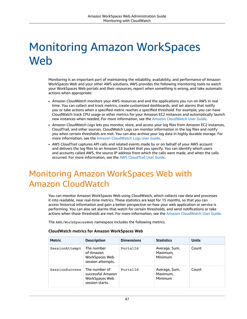# <span id="page-50-0"></span>Monitoring Amazon WorkSpaces **Web**

Monitoring is an important part of maintaining the reliability, availability, and performance of Amazon WorkSpaces Web and your other AWS solutions. AWS provides the following monitoring tools to watch your WorkSpaces Web portals and their resources, report when something is wrong, and take automatic actions when appropriate:

- *Amazon CloudWatch* monitors your AWS resources and and the applications you run on AWS in real time. You can collect and track metrics, create customized dashboards, and set alarms that notify you or take actions when a specified metric reaches a specified threshold. For example, you can have CloudWatch track CPU usage or other metrics for your Amazon EC2 instances and automatically launch new instances when needed. For more information, see the Amazon [CloudWatch](https://docs.aws.amazon.com/AmazonCloudWatch/latest/monitoring/) User Guide.
- *Amazon CloudWatch Logs* lets you monitor, store, and access your log files from Amazon EC2 instances, CloudTrail, and other sources. CloudWatch Logs can monitor information in the log files and notify you when certain thresholds are met. You can also archive your log data in highly durable storage. For more information, see the Amazon [CloudWatch](https://docs.aws.amazon.com/AmazonCloudWatch/latest/logs/) Logs User Guide.
- *AWS CloudTrail* captures API calls and related events made by or on behalf of your AWS account and delivers the log files to an Amazon S3 bucket that you specify. You can identify which users and accounts called AWS, the source IP address from which the calls were made, and when the calls occurred. For more information, see the AWS [CloudTrail](https://docs.aws.amazon.com/awscloudtrail/latest/userguide/) User Guide.

# <span id="page-50-1"></span>Monitoring Amazon WorkSpaces Web with Amazon CloudWatch

You can monitor Amazon WorkSpaces Web using CloudWatch, which collects raw data and processes it into readable, near real-time metrics. These statistics are kept for 15 months, so that you can access historical information and gain a better perspective on how your web application or service is performing. You can also set alarms that watch for certain thresholds, and send notifications or take actions when those thresholds are met. For more information, see the Amazon [CloudWatch](https://docs.aws.amazon.com/AmazonCloudWatch/latest/monitoring/) User Guide.

The AWS/WorkSpacesWeb namespace includes the following metrics.

| Metric         | <b>Description</b>                                                      | <b>Dimensions</b> | <b>Statistics</b>                    | <b>Units</b> |
|----------------|-------------------------------------------------------------------------|-------------------|--------------------------------------|--------------|
| SessionAttempt | The number<br>of Amazon<br>WorkSpaces Web<br>session attempts.          | PortalId          | Average, Sum,<br>Maximum,<br>Minimum | Count        |
| SessionSuccess | The number of<br>successful Amazon<br>WorkSpaces Web<br>session starts. | PortalId          | Average, Sum,<br>Maximum,<br>Minimum | Count        |

### **CloudWatch metrics for Amazon WorkSpaces Web**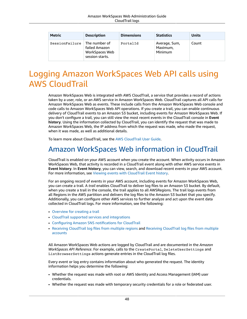| <b>Metric</b>  | <b>Description</b>                                                  | <b>Dimensions</b> | <b>Statistics</b>                    | <b>Units</b> |
|----------------|---------------------------------------------------------------------|-------------------|--------------------------------------|--------------|
| SessionFailure | The number of<br>failed Amazon<br>WorkSpaces Web<br>session starts. | PortalId          | Average, Sum,<br>Maximum,<br>Minimum | Count        |

# <span id="page-51-0"></span>Logging Amazon WorkSpaces Web API calls using AWS CloudTrail

Amazon WorkSpaces Web is integrated with AWS CloudTrail, a service that provides a record of actions taken by a user, role, or an AWS service in Amazon WorkSpaces Web. CloudTrail captures all API calls for Amazon WorkSpaces Web as events. These include calls from the Amazon WorkSpaces Web console and code calls to Amazon WorkSpaces Web API operations. If you create a trail, you can enable continuous delivery of CloudTrail events to an Amazon S3 bucket, including events for Amazon WorkSpaces Web. If you don't configure a trail, you can still view the most recent events in the CloudTrail console in **Event history**. Using the information collected by CloudTrail, you can identify the request that was made to Amazon WorkSpaces Web, the IP address from which the request was made, who made the request, when it was made, as well as additional details.

To learn more about CloudTrail, see the AWS [CloudTrail](https://docs.aws.amazon.com/awscloudtrail/latest/userguide/cloudtrail-user-guide.html) User Guide.

# <span id="page-51-1"></span>Amazon WorkSpaces Web information in CloudTrail

CloudTrail is enabled on your AWS account when you create the account. When activity occurs in Amazon WorkSpaces Web, that activity is recorded in a CloudTrail event along with other AWS service events in **Event history**. In **Event history**, you can view, search, and download recent events in your AWS account. For more information, see Viewing events with [CloudTrail](https://docs.aws.amazon.com/awscloudtrail/latest/userguide/view-cloudtrail-events.html) Event history.

For an ongoing record of events in your AWS account, including events for Amazon WorkSpaces Web, you can create a trail. A *trail* enables CloudTrail to deliver log files to an Amazon S3 bucket. By default, when you create a trail in the console, the trail applies to all AWSRegions. The trail logs events from all Regions in the AWS partition and delivers the log files to the Amazon S3 bucket that you specify. Additionally, you can configure other AWS services to further analyze and act upon the event data collected in CloudTrail logs. For more information, see the following:

- [Overview](https://docs.aws.amazon.com/awscloudtrail/latest/userguide/cloudtrail-create-and-update-a-trail.html) for creating a trail
- CloudTrail supported services and [integrations](https://docs.aws.amazon.com/awscloudtrail/latest/userguide/cloudtrail-aws-service-specific-topics.html)
- Configuring Amazon SNS [notifications](https://docs.aws.amazon.com/awscloudtrail/latest/userguide/configure-sns-notifications-for-cloudtrail.html) for CloudTrail
- Receiving [CloudTrail](https://docs.aws.amazon.com/awscloudtrail/latest/userguide/receive-cloudtrail-log-files-from-multiple-regions.html) log files from multiple regions and Receiving [CloudTrail](https://docs.aws.amazon.com/awscloudtrail/latest/userguide/cloudtrail-receive-logs-from-multiple-accounts.html) log files from multiple [accounts](https://docs.aws.amazon.com/awscloudtrail/latest/userguide/cloudtrail-receive-logs-from-multiple-accounts.html)

All Amazon WorkSpaces Web actions are logged by CloudTrail and are documented in the *Amazon WorkSpaces API Reference*. For example, calls to the CreatePortal, DeleteUserSettings and ListBrowserSettings actions generate entries in the CloudTrail log files.

Every event or log entry contains information about who generated the request. The identity information helps you determine the following:

- Whether the request was made with root or AWS Identity and Access Management (IAM) user credentials.
- Whether the request was made with temporary security credentials for a role or federated user.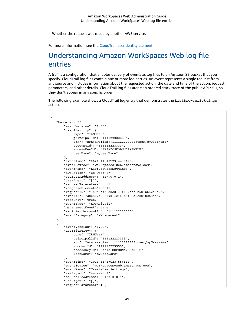• Whether the request was made by another AWS service.

For more information, see the CloudTrail [userIdentity](https://docs.aws.amazon.com/awscloudtrail/latest/userguide/cloudtrail-event-reference-user-identity.html) element.

# <span id="page-52-0"></span>Understanding Amazon WorkSpaces Web log file entries

A *trail* is a configuration that enables delivery of events as log files to an Amazon S3 bucket that you specify. CloudTrail log files contain one or more log entries. An event represents a single request from any source and includes information about the requested action, the date and time of the action, request parameters, and other details. CloudTrail log files aren't an ordered stack trace of the public API calls, so they don't appear in any specific order.

The following example shows a CloudTrail log entry that demonstrates the ListBrowserSettings action.

```
 {
    "Records": [{
        "eventVersion": "1.08",
        "userIdentity": {
            "type": "IAMUser",
            "principalId": "111122223333",
            "arn": "arn:aws:iam::111122223333:user/myUserName",
            "accountId": "111122223333",
            "accessKeyId": "AKIAIOSFODNN7EXAMPLE",
            "userName": "myUserName"
        },
        "eventTime": "2021-11-17T23:44:51Z",
        "eventSource": "workspaces-web.amazonaws.com",
        "eventName": "ListBrowserSettings",
        "awsRegion": "us-west-2",
        "sourceIPAddress": "127.0.0.1",
        "userAgent": "[]",
        "requestParameters": null,
        "responseElements": null,
        "requestID": "159d5c4f-c8c8-41f1-9aee-b5b1b632e8b2",
        "eventID": "d8237248-0090-4c1e-b8f0-a6e8b18d63cb",
        "readOnly": true,
        "eventType": "AwsApiCall",
        "managementEvent": true,
        "recipientAccountId": "111122223333",
        "eventCategory": "Management"
    },
    {
        "eventVersion": "1.08",
        "userIdentity": {
            "type": "IAMUser",
            "principalId": "111122223333",
            "arn": "arn:aws:iam::111122223333:user/myUserName",
            "accountId": "111122223333",
            "accessKeyId": "AKIAIOSFODNN7EXAMPLE",
            "userName": "myUserName"
        },
        "eventTime": "2021-11-17T23:55:51Z",
        "eventSource": "workspaces-web.amazonaws.com",
        "eventName": "CreateUserSettings",
        "awsRegion": "us-west-2",
        "sourceIPAddress": "5127.0.0.1",
        "userAgent": "[]",
        "requestParameters": {
```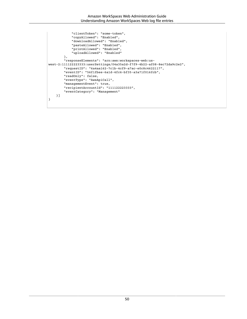```
 "clientToken": "some-token",
            "copyAllowed": "Enabled",
            "downloadAllowed": "Enabled",
            "pasteAllowed": "Enabled",
 "printAllowed": "Enabled",
 "uploadAllowed": "Enabled"
        },
        "responseElements": "arn:aws:workspaces-web:us-
west-2:111122223333:userSettings/04a35a2d-f7f9-4b22-af08-8ec72da9c2e2",
 "requestID": "6a4aa162-7c1b-4cf9-a7ac-e0c8c4622117",
 "eventID": "56f1fbee-6a1d-4fc6-bf35-a3a71f016fcb",
         "readOnly": false,
        "eventType": "AwsApiCall",
        "managementEvent": true,
        "recipientAccountId": "111122223333",
         "eventCategory": "Management"
    }]
}
```